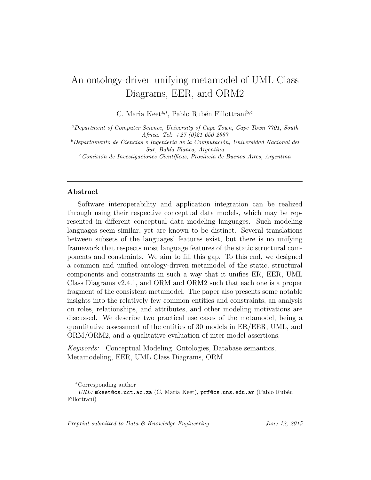# An ontology-driven unifying metamodel of UML Class Diagrams, EER, and ORM2

C. Maria Keet<sup>a,∗</sup>, Pablo Rubén Fillottrani<sup>b,c</sup>

<sup>a</sup>Department of Computer Science, University of Cape Town, Cape Town 7701, South Africa. Tel: +27 (0)21 650 2667

 $b$ Departamento de Ciencias e Ingeniería de la Computación, Universidad Nacional del Sur, Bahía Blanca, Argentina

 $c^c$ Comisión de Investigaciones Científicas, Provincia de Buenos Aires, Argentina

## Abstract

Software interoperability and application integration can be realized through using their respective conceptual data models, which may be represented in different conceptual data modeling languages. Such modeling languages seem similar, yet are known to be distinct. Several translations between subsets of the languages' features exist, but there is no unifying framework that respects most language features of the static structural components and constraints. We aim to fill this gap. To this end, we designed a common and unified ontology-driven metamodel of the static, structural components and constraints in such a way that it unifies ER, EER, UML Class Diagrams v2.4.1, and ORM and ORM2 such that each one is a proper fragment of the consistent metamodel. The paper also presents some notable insights into the relatively few common entities and constraints, an analysis on roles, relationships, and attributes, and other modeling motivations are discussed. We describe two practical use cases of the metamodel, being a quantitative assessment of the entities of 30 models in ER/EER, UML, and ORM/ORM2, and a qualitative evaluation of inter-model assertions.

Keywords: Conceptual Modeling, Ontologies, Database semantics, Metamodeling, EER, UML Class Diagrams, ORM

Preprint submitted to Data & Knowledge Engineering June 12, 2015

<sup>∗</sup>Corresponding author

 $URL:$  mkeet@cs.uct.ac.za (C. Maria Keet), prf@cs.uns.edu.ar (Pablo Rubén Fillottrani)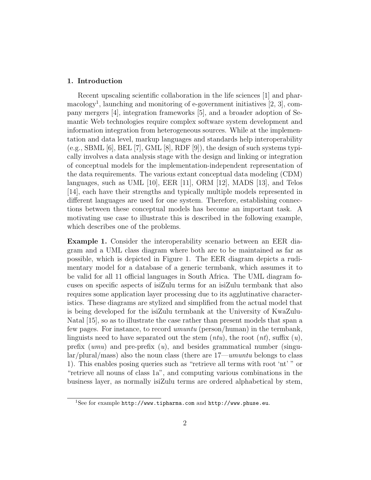## 1. Introduction

Recent upscaling scientific collaboration in the life sciences [1] and pharmacology<sup>1</sup>, launching and monitoring of e-government initiatives [2, 3], company mergers [4], integration frameworks [5], and a broader adoption of Semantic Web technologies require complex software system development and information integration from heterogeneous sources. While at the implementation and data level, markup languages and standards help interoperability  $(e.g., SBML [6], BEL [7], GML [8], RDF [9]),$  the design of such systems typically involves a data analysis stage with the design and linking or integration of conceptual models for the implementation-independent representation of the data requirements. The various extant conceptual data modeling (CDM) languages, such as UML [10], EER [11], ORM [12], MADS [13], and Telos [14], each have their strengths and typically multiple models represented in different languages are used for one system. Therefore, establishing connections between these conceptual models has become an important task. A motivating use case to illustrate this is described in the following example, which describes one of the problems.

Example 1. Consider the interoperability scenario between an EER diagram and a UML class diagram where both are to be maintained as far as possible, which is depicted in Figure 1. The EER diagram depicts a rudimentary model for a database of a generic termbank, which assumes it to be valid for all 11 official languages in South Africa. The UML diagram focuses on specific aspects of isiZulu terms for an isiZulu termbank that also requires some application layer processing due to its agglutinative characteristics. These diagrams are stylized and simplified from the actual model that is being developed for the isiZulu termbank at the University of KwaZulu-Natal [15], so as to illustrate the case rather than present models that span a few pages. For instance, to record umuntu (person/human) in the termbank, linguists need to have separated out the stem  $(ntu)$ , the root  $(nt)$ , suffix  $(u)$ , prefix  $(umu)$  and pre-prefix  $(u)$ , and besides grammatical number (singular/plural/mass) also the noun class (there are 17—umuntu belongs to class 1). This enables posing queries such as "retrieve all terms with root 'nt' " or "retrieve all nouns of class 1a", and computing various combinations in the business layer, as normally isiZulu terms are ordered alphabetical by stem,

<sup>1</sup>See for example http://www.tipharma.com and http://www.phuse.eu.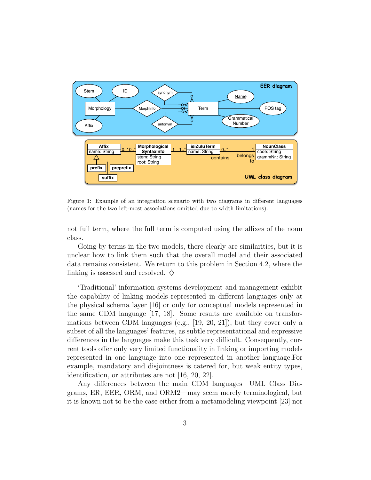

Figure 1: Example of an integration scenario with two diagrams in different languages (names for the two left-most associations omitted due to width limitations).

not full term, where the full term is computed using the affixes of the noun class.

Going by terms in the two models, there clearly are similarities, but it is unclear how to link them such that the overall model and their associated data remains consistent. We return to this problem in Section 4.2, where the linking is assessed and resolved.  $\diamondsuit$ 

'Traditional' information systems development and management exhibit the capability of linking models represented in different languages only at the physical schema layer [16] or only for conceptual models represented in the same CDM language [17, 18]. Some results are available on transformations between CDM languages (e.g., [19, 20, 21]), but they cover only a subset of all the languages' features, as subtle representational and expressive differences in the languages make this task very difficult. Consequently, current tools offer only very limited functionality in linking or importing models represented in one language into one represented in another language.For example, mandatory and disjointness is catered for, but weak entity types, identification, or attributes are not [16, 20, 22].

Any differences between the main CDM languages—UML Class Diagrams, ER, EER, ORM, and ORM2—may seem merely terminological, but it is known not to be the case either from a metamodeling viewpoint [23] nor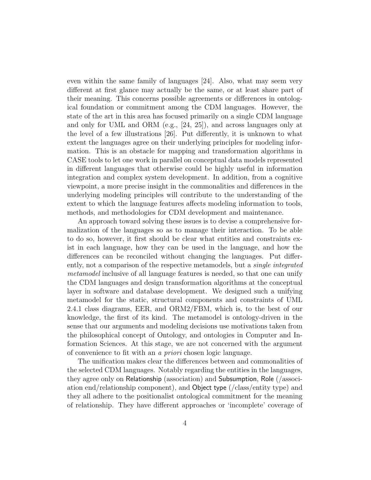even within the same family of languages [24]. Also, what may seem very different at first glance may actually be the same, or at least share part of their meaning. This concerns possible agreements or differences in ontological foundation or commitment among the CDM languages. However, the state of the art in this area has focused primarily on a single CDM language and only for UML and ORM (e.g., [24, 25]), and across languages only at the level of a few illustrations [26]. Put differently, it is unknown to what extent the languages agree on their underlying principles for modeling information. This is an obstacle for mapping and transformation algorithms in CASE tools to let one work in parallel on conceptual data models represented in different languages that otherwise could be highly useful in information integration and complex system development. In addition, from a cognitive viewpoint, a more precise insight in the commonalities and differences in the underlying modeling principles will contribute to the understanding of the extent to which the language features affects modeling information to tools, methods, and methodologies for CDM development and maintenance.

An approach toward solving these issues is to devise a comprehensive formalization of the languages so as to manage their interaction. To be able to do so, however, it first should be clear what entities and constraints exist in each language, how they can be used in the language, and how the differences can be reconciled without changing the languages. Put differently, not a comparison of the respective metamodels, but a *single integrated* metamodel inclusive of all language features is needed, so that one can unify the CDM languages and design transformation algorithms at the conceptual layer in software and database development. We designed such a unifying metamodel for the static, structural components and constraints of UML 2.4.1 class diagrams, EER, and ORM2/FBM, which is, to the best of our knowledge, the first of its kind. The metamodel is ontology-driven in the sense that our arguments and modeling decisions use motivations taken from the philosophical concept of Ontology, and ontologies in Computer and Information Sciences. At this stage, we are not concerned with the argument of convenience to fit with an a priori chosen logic language.

The unification makes clear the differences between and commonalities of the selected CDM languages. Notably regarding the entities in the languages, they agree only on Relationship (association) and Subsumption, Role (/association end/relationship component), and Object type (/class/entity type) and they all adhere to the positionalist ontological commitment for the meaning of relationship. They have different approaches or 'incomplete' coverage of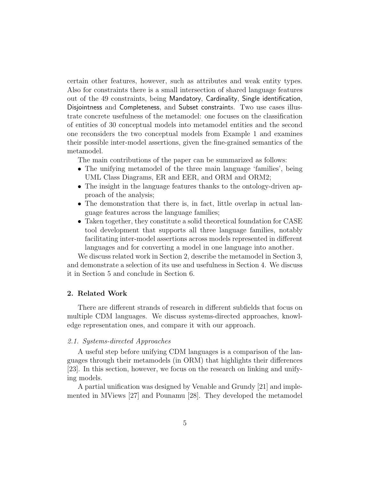certain other features, however, such as attributes and weak entity types. Also for constraints there is a small intersection of shared language features out of the 49 constraints, being Mandatory, Cardinality, Single identification, Disjointness and Completeness, and Subset constraints. Two use cases illustrate concrete usefulness of the metamodel: one focuses on the classification of entities of 30 conceptual models into metamodel entities and the second one reconsiders the two conceptual models from Example 1 and examines their possible inter-model assertions, given the fine-grained semantics of the metamodel.

The main contributions of the paper can be summarized as follows:

- The unifying metamodel of the three main language 'families', being UML Class Diagrams, ER and EER, and ORM and ORM2;
- The insight in the language features thanks to the ontology-driven approach of the analysis;
- The demonstration that there is, in fact, little overlap in actual language features across the language families;
- Taken together, they constitute a solid theoretical foundation for CASE tool development that supports all three language families, notably facilitating inter-model assertions across models represented in different languages and for converting a model in one language into another.

We discuss related work in Section 2, describe the metamodel in Section 3, and demonstrate a selection of its use and usefulness in Section 4. We discuss it in Section 5 and conclude in Section 6.

## 2. Related Work

There are different strands of research in different subfields that focus on multiple CDM languages. We discuss systems-directed approaches, knowledge representation ones, and compare it with our approach.

## 2.1. Systems-directed Approaches

A useful step before unifying CDM languages is a comparison of the languages through their metamodels (in ORM) that highlights their differences [23]. In this section, however, we focus on the research on linking and unifying models.

A partial unification was designed by Venable and Grundy [21] and implemented in MViews [27] and Pounamu [28]. They developed the metamodel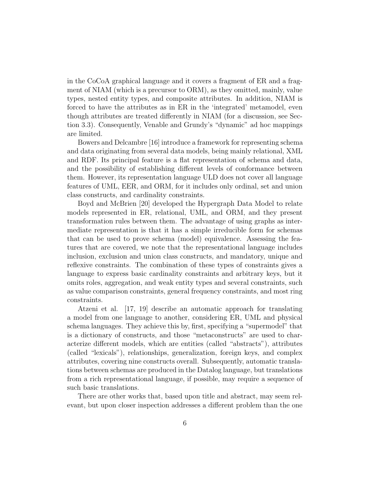in the CoCoA graphical language and it covers a fragment of ER and a fragment of NIAM (which is a precursor to ORM), as they omitted, mainly, value types, nested entity types, and composite attributes. In addition, NIAM is forced to have the attributes as in ER in the 'integrated' metamodel, even though attributes are treated differently in NIAM (for a discussion, see Section 3.3). Consequently, Venable and Grundy's "dynamic" ad hoc mappings are limited.

Bowers and Delcambre [16] introduce a framework for representing schema and data originating from several data models, being mainly relational, XML and RDF. Its principal feature is a flat representation of schema and data, and the possibility of establishing different levels of conformance between them. However, its representation language ULD does not cover all language features of UML, EER, and ORM, for it includes only ordinal, set and union class constructs, and cardinality constraints.

Boyd and McBrien [20] developed the Hypergraph Data Model to relate models represented in ER, relational, UML, and ORM, and they present transformation rules between them. The advantage of using graphs as intermediate representation is that it has a simple irreducible form for schemas that can be used to prove schema (model) equivalence. Assessing the features that are covered, we note that the representational language includes inclusion, exclusion and union class constructs, and mandatory, unique and reflexive constraints. The combination of these types of constraints gives a language to express basic cardinality constraints and arbitrary keys, but it omits roles, aggregation, and weak entity types and several constraints, such as value comparison constraints, general frequency constraints, and most ring constraints.

Atzeni et al. [17, 19] describe an automatic approach for translating a model from one language to another, considering ER, UML and physical schema languages. They achieve this by, first, specifying a "supermodel" that is a dictionary of constructs, and those "metaconstructs" are used to characterize different models, which are entities (called "abstracts"), attributes (called "lexicals"), relationships, generalization, foreign keys, and complex attributes, covering nine constructs overall. Subsequently, automatic translations between schemas are produced in the Datalog language, but translations from a rich representational language, if possible, may require a sequence of such basic translations.

There are other works that, based upon title and abstract, may seem relevant, but upon closer inspection addresses a different problem than the one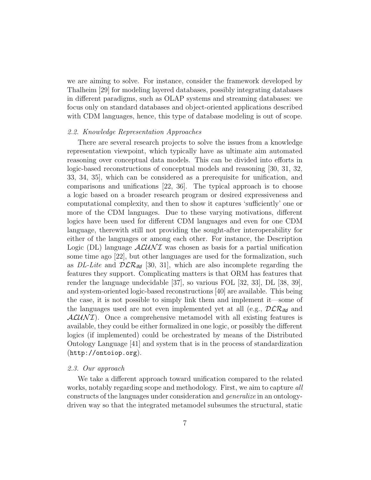we are aiming to solve. For instance, consider the framework developed by Thalheim [29] for modeling layered databases, possibly integrating databases in different paradigms, such as OLAP systems and streaming databases: we focus only on standard databases and object-oriented applications described with CDM languages, hence, this type of database modeling is out of scope.

## 2.2. Knowledge Representation Approaches

There are several research projects to solve the issues from a knowledge representation viewpoint, which typically have as ultimate aim automated reasoning over conceptual data models. This can be divided into efforts in logic-based reconstructions of conceptual models and reasoning [30, 31, 32, 33, 34, 35], which can be considered as a prerequisite for unification, and comparisons and unifications [22, 36]. The typical approach is to choose a logic based on a broader research program or desired expressiveness and computational complexity, and then to show it captures 'sufficiently' one or more of the CDM languages. Due to these varying motivations, different logics have been used for different CDM languages and even for one CDM language, therewith still not providing the sought-after interoperability for either of the languages or among each other. For instance, the Description Logic (DL) language  $ALUNI$  was chosen as basis for a partial unification some time ago [22], but other languages are used for the formalization, such as DL-Lite and  $D\mathcal{LR}_{\text{ifd}}$  [30, 31], which are also incomplete regarding the features they support. Complicating matters is that ORM has features that render the language undecidable [37], so various FOL [32, 33], DL [38, 39], and system-oriented logic-based reconstructions [40] are available. This being the case, it is not possible to simply link them and implement it—some of the languages used are not even implemented yet at all (e.g.,  $\mathcal{DLR}_{\textit{ild}}$  and  $ALUNI$ . Once a comprehensive metamodel with all existing features is available, they could be either formalized in one logic, or possibly the different logics (if implemented) could be orchestrated by means of the Distributed Ontology Language [41] and system that is in the process of standardization (http://ontoiop.org).

#### 2.3. Our approach

We take a different approach toward unification compared to the related works, notably regarding scope and methodology. First, we aim to capture all constructs of the languages under consideration and generalize in an ontologydriven way so that the integrated metamodel subsumes the structural, static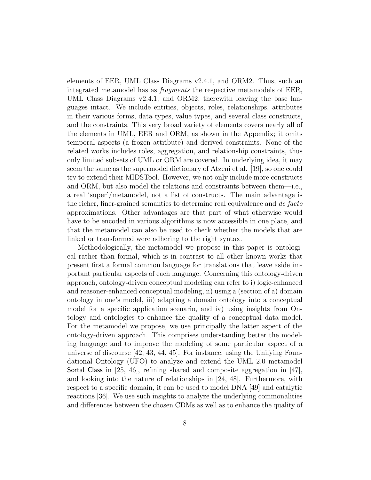elements of EER, UML Class Diagrams v2.4.1, and ORM2. Thus, such an integrated metamodel has as fragments the respective metamodels of EER, UML Class Diagrams v2.4.1, and ORM2, therewith leaving the base languages intact. We include entities, objects, roles, relationships, attributes in their various forms, data types, value types, and several class constructs, and the constraints. This very broad variety of elements covers nearly all of the elements in UML, EER and ORM, as shown in the Appendix; it omits temporal aspects (a frozen attribute) and derived constraints. None of the related works includes roles, aggregation, and relationship constraints, thus only limited subsets of UML or ORM are covered. In underlying idea, it may seem the same as the supermodel dictionary of Atzeni et al. [19], so one could try to extend their MIDSTool. However, we not only include more constructs and ORM, but also model the relations and constraints between them—i.e., a real 'super'/metamodel, not a list of constructs. The main advantage is the richer, finer-grained semantics to determine real equivalence and de facto approximations. Other advantages are that part of what otherwise would have to be encoded in various algorithms is now accessible in one place, and that the metamodel can also be used to check whether the models that are linked or transformed were adhering to the right syntax.

Methodologically, the metamodel we propose in this paper is ontological rather than formal, which is in contrast to all other known works that present first a formal common language for translations that leave aside important particular aspects of each language. Concerning this ontology-driven approach, ontology-driven conceptual modeling can refer to i) logic-enhanced and reasoner-enhanced conceptual modeling, ii) using a (section of a) domain ontology in one's model, iii) adapting a domain ontology into a conceptual model for a specific application scenario, and iv) using insights from Ontology and ontologies to enhance the quality of a conceptual data model. For the metamodel we propose, we use principally the latter aspect of the ontology-driven approach. This comprises understanding better the modeling language and to improve the modeling of some particular aspect of a universe of discourse [42, 43, 44, 45]. For instance, using the Unifying Foundational Ontology (UFO) to analyze and extend the UML 2.0 metamodel Sortal Class in [25, 46], refining shared and composite aggregation in [47], and looking into the nature of relationships in [24, 48]. Furthermore, with respect to a specific domain, it can be used to model DNA [49] and catalytic reactions [36]. We use such insights to analyze the underlying commonalities and differences between the chosen CDMs as well as to enhance the quality of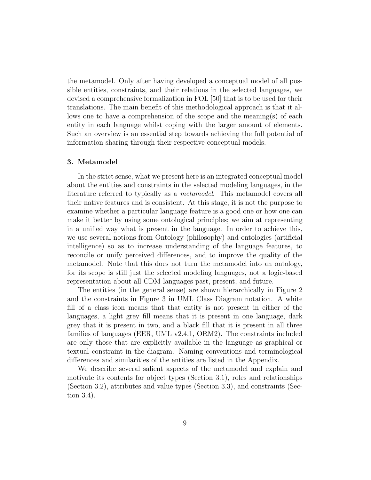the metamodel. Only after having developed a conceptual model of all possible entities, constraints, and their relations in the selected languages, we devised a comprehensive formalization in FOL [50] that is to be used for their translations. The main benefit of this methodological approach is that it allows one to have a comprehension of the scope and the meaning(s) of each entity in each language whilst coping with the larger amount of elements. Such an overview is an essential step towards achieving the full potential of information sharing through their respective conceptual models.

#### 3. Metamodel

In the strict sense, what we present here is an integrated conceptual model about the entities and constraints in the selected modeling languages, in the literature referred to typically as a metamodel. This metamodel covers all their native features and is consistent. At this stage, it is not the purpose to examine whether a particular language feature is a good one or how one can make it better by using some ontological principles; we aim at representing in a unified way what is present in the language. In order to achieve this, we use several notions from Ontology (philosophy) and ontologies (artificial intelligence) so as to increase understanding of the language features, to reconcile or unify perceived differences, and to improve the quality of the metamodel. Note that this does not turn the metamodel into an ontology, for its scope is still just the selected modeling languages, not a logic-based representation about all CDM languages past, present, and future.

The entities (in the general sense) are shown hierarchically in Figure 2 and the constraints in Figure 3 in UML Class Diagram notation. A white fill of a class icon means that that entity is not present in either of the languages, a light grey fill means that it is present in one language, dark grey that it is present in two, and a black fill that it is present in all three families of languages (EER, UML v2.4.1, ORM2). The constraints included are only those that are explicitly available in the language as graphical or textual constraint in the diagram. Naming conventions and terminological differences and similarities of the entities are listed in the Appendix.

We describe several salient aspects of the metamodel and explain and motivate its contents for object types (Section 3.1), roles and relationships (Section 3.2), attributes and value types (Section 3.3), and constraints (Section 3.4).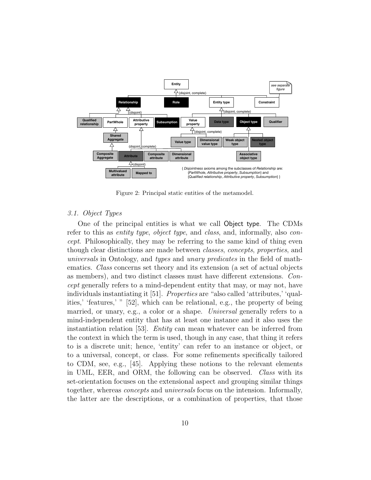

Figure 2: Principal static entities of the metamodel.

## 3.1. Object Types

One of the principal entities is what we call Object type. The CDMs refer to this as entity type, object type, and class, and, informally, also concept. Philosophically, they may be referring to the same kind of thing even though clear distinctions are made between classes, concepts, properties, and universals in Ontology, and types and unary predicates in the field of mathematics. Class concerns set theory and its extension (a set of actual objects as members), and two distinct classes must have different extensions. Concept generally refers to a mind-dependent entity that may, or may not, have individuals instantiating it [51]. Properties are "also called 'attributes,' 'qualities,' 'features,' " [52], which can be relational, e.g., the property of being married, or unary, e.g., a color or a shape. Universal generally refers to a mind-independent entity that has at least one instance and it also uses the instantiation relation [53]. *Entity* can mean whatever can be inferred from the context in which the term is used, though in any case, that thing it refers to is a discrete unit; hence, 'entity' can refer to an instance or object, or to a universal, concept, or class. For some refinements specifically tailored to CDM, see, e.g., [45]. Applying these notions to the relevant elements in UML, EER, and ORM, the following can be observed. Class with its set-orientation focuses on the extensional aspect and grouping similar things together, whereas concepts and universals focus on the intension. Informally, the latter are the descriptions, or a combination of properties, that those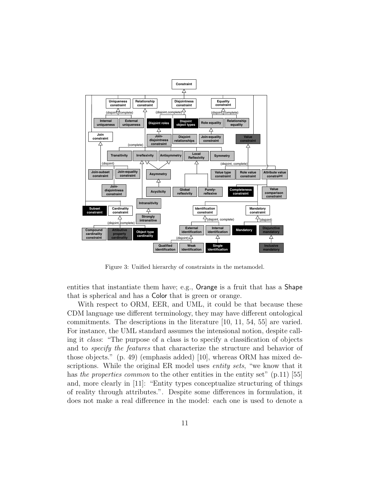

Figure 3: Unified hierarchy of constraints in the metamodel.

entities that instantiate them have; e.g., Orange is a fruit that has a Shape that is spherical and has a Color that is green or orange.

With respect to ORM, EER, and UML, it could be that because these CDM language use different terminology, they may have different ontological commitments. The descriptions in the literature [10, 11, 54, 55] are varied. For instance, the UML standard assumes the intensional notion, despite calling it class: "The purpose of a class is to specify a classification of objects and to *specify the features* that characterize the structure and behavior of those objects." (p. 49) (emphasis added) [10], whereas ORM has mixed descriptions. While the original ER model uses *entity sets*, "we know that it has the properties common to the other entities in the entity set"  $(p.11)$  [55] and, more clearly in [11]: "Entity types conceptualize structuring of things of reality through attributes.". Despite some differences in formulation, it does not make a real difference in the model: each one is used to denote a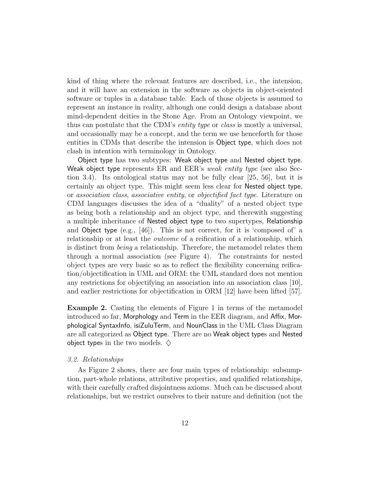kind of thing where the relevant features are described, i.e., the intension, and it will have an extension in the software as objects in object-oriented software or tuples in a database table. Each of those objects is assumed to represent an instance in reality, although one could design a database about mind-dependent deities in the Stone Age. From an Ontology viewpoint, we thus can postulate that the CDM's entity type or class is mostly a universal, and occasionally may be a concept, and the term we use henceforth for those entities in CDMs that describe the intension is Object type, which does not clash in intention with terminology in Ontology.

Object type has two subtypes: Weak object type and Nested object type. Weak object type represents ER and EER's weak entity type (see also Section 3.4). Its ontological status may not be fully clear [25, 56], but it is certainly an object type. This might seem less clear for Nested object type, or association class, associative entity, or objectified fact type. Literature on CDM languages discusses the idea of a "duality" of a nested object type as being both a relationship and an object type, and therewith suggesting a multiple inheritance of Nested object type to two supertypes, Relationship and Object type  $(e.g., [46])$ . This is not correct, for it is 'composed of' a relationship or at least the outcome of a reification of a relationship, which is distinct from being a relationship. Therefore, the metamodel relates them through a normal association (see Figure 4). The constraints for nested object types are very basic so as to reflect the flexibility concerning reification/objectification in UML and ORM: the UML standard does not mention any restrictions for objectifying an association into an association class [10], and earlier restrictions for objectification in ORM [12] have been lifted [57].

Example 2. Casting the elements of Figure 1 in terms of the metamodel introduced so far, Morphology and Term in the EER diagram, and Affix, Morphological SyntaxInfo, isiZuluTerm, and NounClass in the UML Class Diagram are all categorized as Object type. There are no Weak object types and Nested object types in the two models.  $\diamondsuit$ 

## 3.2. Relationships

As Figure 2 shows, there are four main types of relationship: subsumption, part-whole relations, attributive properties, and qualified relationships, with their carefully crafted disjointness axioms. Much can be discussed about relationships, but we restrict ourselves to their nature and definition (not the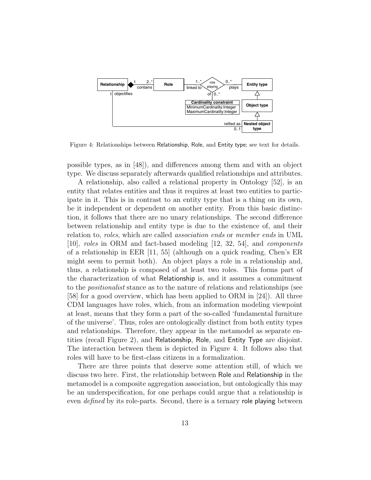

Figure 4: Relationships between Relationship, Role, and Entity type; see text for details.

possible types, as in [48]), and differences among them and with an object type. We discuss separately afterwards qualified relationships and attributes.

A relationship, also called a relational property in Ontology [52], is an entity that relates entities and thus it requires at least two entities to participate in it. This is in contrast to an entity type that is a thing on its own, be it independent or dependent on another entity. From this basic distinction, it follows that there are no unary relationships. The second difference between relationship and entity type is due to the existence of, and their relation to, roles, which are called association ends or member ends in UML [10], roles in ORM and fact-based modeling [12, 32, 54], and components of a relationship in EER [11, 55] (although on a quick reading, Chen's ER might seem to permit both). An object plays a role in a relationship and, thus, a relationship is composed of at least two roles. This forms part of the characterization of what Relationship is, and it assumes a commitment to the positionalist stance as to the nature of relations and relationships (see [58] for a good overview, which has been applied to ORM in [24]). All three CDM languages have roles, which, from an information modeling viewpoint at least, means that they form a part of the so-called 'fundamental furniture of the universe'. Thus, roles are ontologically distinct from both entity types and relationships. Therefore, they appear in the metamodel as separate entities (recall Figure 2), and Relationship, Role, and Entity Type are disjoint. The interaction between them is depicted in Figure 4. It follows also that roles will have to be first-class citizens in a formalization.

There are three points that deserve some attention still, of which we discuss two here. First, the relationship between Role and Relationship in the metamodel is a composite aggregation association, but ontologically this may be an underspecification, for one perhaps could argue that a relationship is even *defined* by its role-parts. Second, there is a ternary role playing between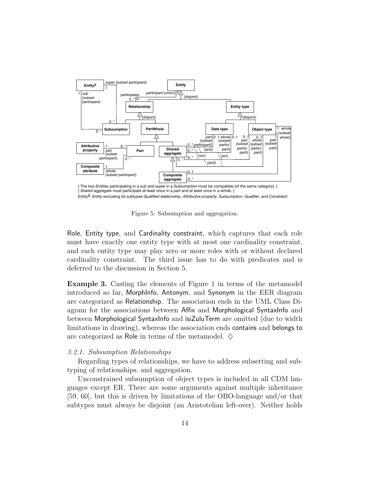

{ The two *Entities* participating in a *sub* and *super* in a *Subsumption* must be compatible (of the same category). } { *Shared aggregate* must participate at least once in a *part* and at least once in a *whole*. } Entity- *Entity* excluding its subtypes *Qualified relationship*, *Attributive property*, *Subsumption*, *Qualifier*, and *Constraint*.

Figure 5: Subsumption and aggregation.

Role, Entity type, and Cardinality constraint, which captures that each role must have exactly one entity type with at most one cardinality constraint, and each entity type may play zero or more roles with or without declared cardinality constraint. The third issue has to do with predicates and is deferred to the discussion in Section 5.

Example 3. Casting the elements of Figure 1 in terms of the metamodel introduced so far, MorphInfo, Antonym, and Synonym in the EER diagram are categorized as Relationship. The association ends in the UML Class Diagram for the associations between Affix and Morphological SyntaxInfo and between Morphological SyntaxInfo and isiZuluTerm are omitted (due to width limitations in drawing), whereas the association ends contains and belongs to are categorized as Role in terms of the metamodel.  $\diamondsuit$ 

#### 3.2.1. Subsumption Relationships

Regarding types of relationships, we have to address subsetting and subtyping of relationships, and aggregation.

Unconstrained subsumption of object types is included in all CDM languages except ER. There are some arguments against multiple inheritance [59, 60], but this is driven by limitations of the OBO-language and/or that subtypes must always be disjoint (an Aristotelian left-over). Neither holds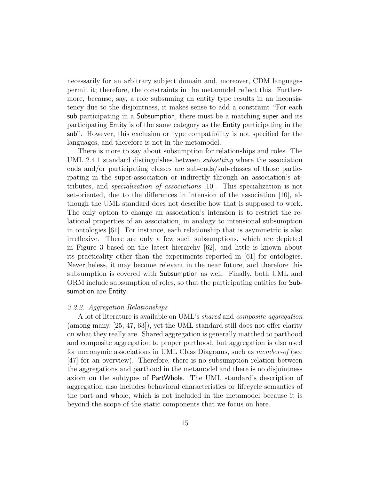necessarily for an arbitrary subject domain and, moreover, CDM languages permit it; therefore, the constraints in the metamodel reflect this. Furthermore, because, say, a role subsuming an entity type results in an inconsistency due to the disjointness, it makes sense to add a constraint "For each sub participating in a Subsumption, there must be a matching super and its participating Entity is of the same category as the Entity participating in the sub". However, this exclusion or type compatibility is not specified for the languages, and therefore is not in the metamodel.

There is more to say about subsumption for relationships and roles. The UML 2.4.1 standard distinguishes between *subsetting* where the association ends and/or participating classes are sub-ends/sub-classes of those participating in the super-association or indirectly through an association's attributes, and specialization of associations [10]. This specialization is not set-oriented, due to the differences in intension of the association [10], although the UML standard does not describe how that is supposed to work. The only option to change an association's intension is to restrict the relational properties of an association, in analogy to intensional subsumption in ontologies [61]. For instance, each relationship that is asymmetric is also irreflexive. There are only a few such subsumptions, which are depicted in Figure 3 based on the latest hierarchy [62], and little is known about its practicality other than the experiments reported in [61] for ontologies. Nevertheless, it may become relevant in the near future, and therefore this subsumption is covered with Subsumption as well. Finally, both UML and ORM include subsumption of roles, so that the participating entities for Subsumption are Entity.

## 3.2.2. Aggregation Relationships

A lot of literature is available on UML's shared and composite aggregation (among many, [25, 47, 63]), yet the UML standard still does not offer clarity on what they really are. Shared aggregation is generally matched to parthood and composite aggregation to proper parthood, but aggregation is also used for meronymic associations in UML Class Diagrams, such as member-of (see [47] for an overview). Therefore, there is no subsumption relation between the aggregations and parthood in the metamodel and there is no disjointness axiom on the subtypes of PartWhole. The UML standard's description of aggregation also includes behavioral characteristics or lifecycle semantics of the part and whole, which is not included in the metamodel because it is beyond the scope of the static components that we focus on here.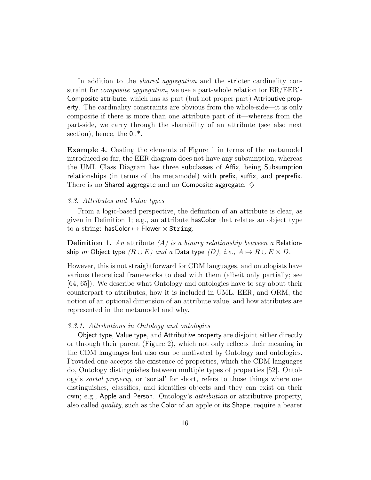In addition to the *shared aggregation* and the stricter cardinality constraint for composite aggregation, we use a part-whole relation for ER/EER's Composite attribute, which has as part (but not proper part) Attributive property. The cardinality constraints are obvious from the whole-side—it is only composite if there is more than one attribute part of it—whereas from the part-side, we carry through the sharability of an attribute (see also next section), hence, the  $0.*$ .

Example 4. Casting the elements of Figure 1 in terms of the metamodel introduced so far, the EER diagram does not have any subsumption, whereas the UML Class Diagram has three subclasses of Affix, being Subsumption relationships (in terms of the metamodel) with prefix, suffix, and preprefix. There is no Shared aggregate and no Composite aggregate.  $\diamondsuit$ 

## 3.3. Attributes and Value types

From a logic-based perspective, the definition of an attribute is clear, as given in Definition 1; e.g., an attribute hasColor that relates an object type to a string: hasColor  $\mapsto$  Flower  $\times$  String.

**Definition 1.** An attribute  $(A)$  is a binary relationship between a Relationship or Object type  $(R \cup E)$  and a Data type  $(D)$ , i.e.,  $A \mapsto R \cup E \times D$ .

However, this is not straightforward for CDM languages, and ontologists have various theoretical frameworks to deal with them (albeit only partially; see [64, 65]). We describe what Ontology and ontologies have to say about their counterpart to attributes, how it is included in UML, EER, and ORM, the notion of an optional dimension of an attribute value, and how attributes are represented in the metamodel and why.

## 3.3.1. Attributions in Ontology and ontologies

Object type, Value type, and Attributive property are disjoint either directly or through their parent (Figure 2), which not only reflects their meaning in the CDM languages but also can be motivated by Ontology and ontologies. Provided one accepts the existence of properties, which the CDM languages do, Ontology distinguishes between multiple types of properties [52]. Ontology's sortal property, or 'sortal' for short, refers to those things where one distinguishes, classifies, and identifies objects and they can exist on their own; e.g., Apple and Person. Ontology's attribution or attributive property, also called *quality*, such as the Color of an apple or its **Shape**, require a bearer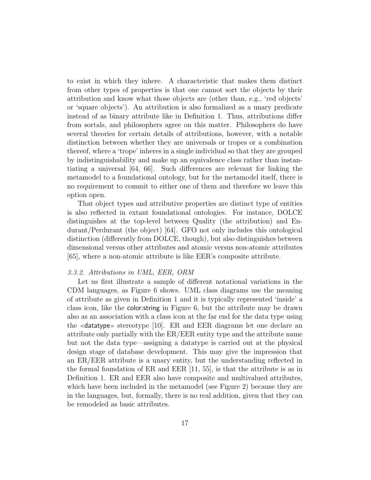to exist in which they inhere. A characteristic that makes them distinct from other types of properties is that one cannot sort the objects by their attribution and know what those objects are (other than, e.g., 'red objects' or 'square objects'). An attribution is also formalized as a unary predicate instead of as binary attribute like in Definition 1. Thus, attributions differ from sortals, and philosophers agree on this matter. Philosophers do have several theories for certain details of attributions, however, with a notable distinction between whether they are universals or tropes or a combination thereof, where a 'trope' inheres in a single individual so that they are grouped by indistinguishability and make up an equivalence class rather than instantiating a universal [64, 66]. Such differences are relevant for linking the metamodel to a foundational ontology, but for the metamodel itself, there is no requirement to commit to either one of them and therefore we leave this option open.

That object types and attributive properties are distinct type of entities is also reflected in extant foundational ontologies. For instance, DOLCE distinguishes at the top-level between Quality (the attribution) and Endurant/Perdurant (the object) [64]. GFO not only includes this ontological distinction (differently from DOLCE, though), but also distinguishes between dimensional versus other attributes and atomic versus non-atomic attributes [65], where a non-atomic attribute is like EER's composite attribute.

## 3.3.2. Attributions in UML, EER, ORM

Let us first illustrate a sample of different notational variations in the CDM languages, as Figure 6 shows. UML class diagrams use the meaning of attribute as given in Definition 1 and it is typically represented 'inside' a class icon, like the color:string in Figure 6, but the attribute may be drawn also as an association with a class icon at the far end for the data type using the  $\ll$  datatype  $\gg$  stereotype [10]. ER and EER diagrams let one declare an attribute only partially with the ER/EER entity type and the attribute name but not the data type—assigning a datatype is carried out at the physical design stage of database development. This may give the impression that an ER/EER attribute is a unary entity, but the understanding reflected in the formal foundation of ER and EER [11, 55], is that the attribute is as in Definition 1. ER and EER also have composite and multivalued attributes, which have been included in the metamodel (see Figure 2) because they are in the languages, but, formally, there is no real addition, given that they can be remodeled as basic attributes.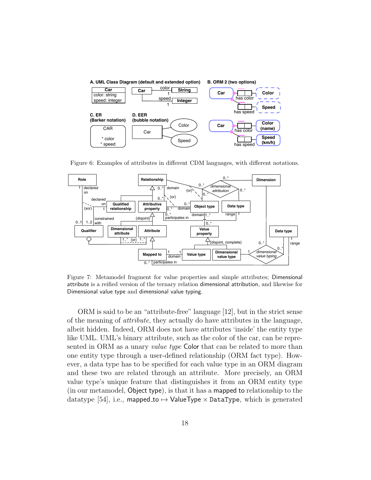

Figure 6: Examples of attributes in different CDM languages, with different notations.



Figure 7: Metamodel fragment for value properties and simple attributes; Dimensional attribute is a reified version of the ternary relation dimensional attribution, and likewise for Dimensional value type and dimensional value typing.

ORM is said to be an "attribute-free" language [12], but in the strict sense of the meaning of attribute, they actually do have attributes in the language, albeit hidden. Indeed, ORM does not have attributes 'inside' the entity type like UML. UML's binary attribute, such as the color of the car, can be represented in ORM as a unary *value type* Color that can be related to more than one entity type through a user-defined relationship (ORM fact type). However, a data type has to be specified for each value type in an ORM diagram and these two are related through an attribute. More precisely, an ORM value type's unique feature that distinguishes it from an ORM entity type (in our metamodel, Object type), is that it has a mapped to relationship to the datatype [54], i.e., mapped\_to  $\mapsto$  ValueType  $\times$  DataType, which is generated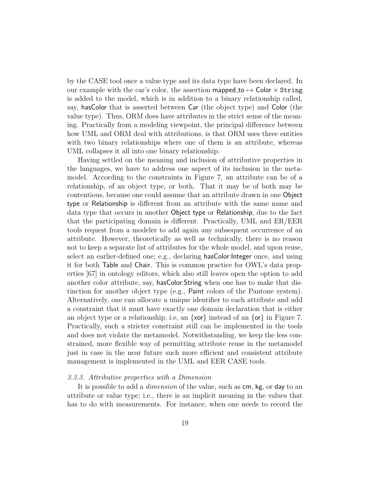by the CASE tool once a value type and its data type have been declared. In our example with the car's color, the assertion mapped to  $\rightarrow$  Color  $\times$  String is added to the model, which is in addition to a binary relationship called, say, hasColor that is asserted between Car (the object type) and Color (the value type). Thus, ORM does have attributes in the strict sense of the meaning. Practically from a modeling viewpoint, the principal difference between how UML and ORM deal with attributions, is that ORM uses three entities with two binary relationships where one of them is an attribute, whereas UML collapses it all into one binary relationship.

Having settled on the meaning and inclusion of attributive properties in the languages, we have to address one aspect of its inclusion in the metamodel. According to the constraints in Figure 7, an attribute can be of a relationship, of an object type, or both. That it may be of both may be contentious, because one could assume that an attribute drawn in one Object type or Relationship is different from an attribute with the same name and data type that occurs in another Object type or Relationship, due to the fact that the participating domain is different. Practically, UML and ER/EER tools request from a modeler to add again any subsequent occurrence of an attribute. However, theoretically as well as technically, there is no reason not to keep a separate list of attributes for the whole model, and upon reuse, select an earlier-defined one; e.g., declaring hasColor:Integer once, and using it for both Table and Chair. This is common practice for OWL's data properties [67] in ontology editors, which also still leaves open the option to add another color attribute, say, hasColor:String when one has to make that distinction for another object type (e.g., Paint colors of the Pantone system). Alternatively, one can allocate a unique identifier to each attribute and add a constraint that it must have exactly one domain declaration that is either an object type or a relationship, i.e, an  $\{x \in \mathbb{R}^n\}$  instead of an  $\{ \sigma \}$  in Figure 7. Practically, such a stricter constraint still can be implemented in the tools and does not violate the metamodel. Notwithstanding, we keep the less constrained, more flexible way of permitting attribute reuse in the metamodel just in case in the near future such more efficient and consistent attribute management is implemented in the UML and EER CASE tools.

#### 3.3.3. Attributive properties with a Dimension

It is possible to add a *dimension* of the value, such as cm, kg, or day to an attribute or value type; i.e., there is an implicit meaning in the values that has to do with measurements. For instance, when one needs to record the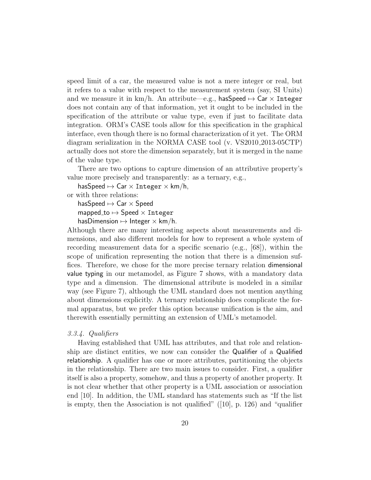speed limit of a car, the measured value is not a mere integer or real, but it refers to a value with respect to the measurement system (say, SI Units) and we measure it in km/h. An attribute—e.g., has Speed  $\mapsto$  Car  $\times$  Integer does not contain any of that information, yet it ought to be included in the specification of the attribute or value type, even if just to facilitate data integration. ORM's CASE tools allow for this specification in the graphical interface, even though there is no formal characterization of it yet. The ORM diagram serialization in the NORMA CASE tool (v. VS2010 2013-05CTP) actually does not store the dimension separately, but it is merged in the name of the value type.

There are two options to capture dimension of an attributive property's value more precisely and transparently: as a ternary, e.g.,

hasSpeed  $\mapsto$  Car  $\times$  Integer  $\times$  km/h,

or with three relations:

```
hasSpeed \mapsto Car \times Speed
```
mapped\_to  $\mapsto$  Speed  $\times$  Integer

hasDimension  $\mapsto$  Integer  $\times$  km/h.

Although there are many interesting aspects about measurements and dimensions, and also different models for how to represent a whole system of recording measurement data for a specific scenario (e.g.,  $[68]$ ), within the scope of unification representing the notion that there is a dimension suffices. Therefore, we chose for the more precise ternary relation dimensional value typing in our metamodel, as Figure 7 shows, with a mandatory data type and a dimension. The dimensional attribute is modeled in a similar way (see Figure 7), although the UML standard does not mention anything about dimensions explicitly. A ternary relationship does complicate the formal apparatus, but we prefer this option because unification is the aim, and therewith essentially permitting an extension of UML's metamodel.

## 3.3.4. Qualifiers

Having established that UML has attributes, and that role and relationship are distinct entities, we now can consider the Qualifier of a Qualified relationship. A qualifier has one or more attributes, partitioning the objects in the relationship. There are two main issues to consider. First, a qualifier itself is also a property, somehow, and thus a property of another property. It is not clear whether that other property is a UML association or association end [10]. In addition, the UML standard has statements such as "If the list is empty, then the Association is not qualified"  $([10]$ , p. 126) and "qualifier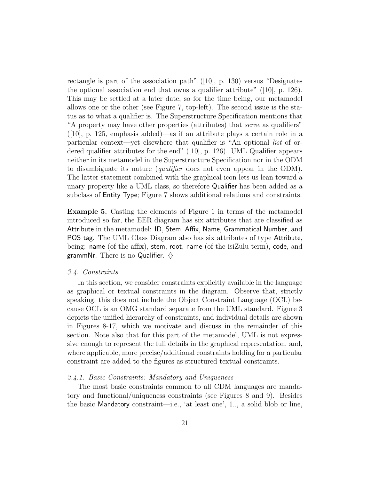rectangle is part of the association path" ([10], p. 130) versus "Designates the optional association end that owns a qualifier attribute"  $([10]$ , p. 126). This may be settled at a later date, so for the time being, our metamodel allows one or the other (see Figure 7, top-left). The second issue is the status as to what a qualifier is. The Superstructure Specification mentions that "A property may have other properties (attributes) that serve as qualifiers"  $([10], p. 125,$  emphasis added)—as if an attribute plays a certain role in a particular context—yet elsewhere that qualifier is "An optional list of ordered qualifier attributes for the end" ([10], p. 126). UML Qualifier appears neither in its metamodel in the Superstructure Specification nor in the ODM to disambiguate its nature (qualifier does not even appear in the ODM). The latter statement combined with the graphical icon lets us lean toward a unary property like a UML class, so therefore Qualifier has been added as a subclass of Entity Type; Figure 7 shows additional relations and constraints.

Example 5. Casting the elements of Figure 1 in terms of the metamodel introduced so far, the EER diagram has six attributes that are classified as Attribute in the metamodel: ID, Stem, Affix, Name, Grammatical Number, and POS tag. The UML Class Diagram also has six attributes of type Attribute, being: name (of the affix), stem, root, name (of the isiZulu term), code, and grammNr. There is no Qualifier.  $\diamondsuit$ 

#### 3.4. Constraints

In this section, we consider constraints explicitly available in the language as graphical or textual constraints in the diagram. Observe that, strictly speaking, this does not include the Object Constraint Language (OCL) because OCL is an OMG standard separate from the UML standard. Figure 3 depicts the unified hierarchy of constraints, and individual details are shown in Figures 8-17, which we motivate and discuss in the remainder of this section. Note also that for this part of the metamodel, UML is not expressive enough to represent the full details in the graphical representation, and, where applicable, more precise/additional constraints holding for a particular constraint are added to the figures as structured textual constraints.

#### 3.4.1. Basic Constraints: Mandatory and Uniqueness

The most basic constraints common to all CDM languages are mandatory and functional/uniqueness constraints (see Figures 8 and 9). Besides the basic Mandatory constraint—i.e., 'at least one', 1.., a solid blob or line,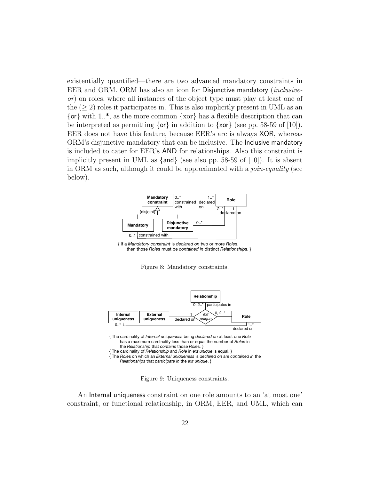existentially quantified—there are two advanced mandatory constraints in EER and ORM. ORM has also an icon for Disjunctive mandatory *(inclusive*or) on roles, where all instances of the object type must play at least one of the  $(> 2)$  roles it participates in. This is also implicitly present in UML as an  $\{\text{or}\}\$  with 1..\*, as the more common  $\{\text{xor}\}\$  has a flexible description that can be interpreted as permitting  $\{\alpha r\}$  in addition to  $\{\alpha \alpha r\}$  (see pp. 58-59 of [10]). EER does not have this feature, because EER's arc is always XOR, whereas ORM's disjunctive mandatory that can be inclusive. The Inclusive mandatory is included to cater for EER's AND for relationships. Also this constraint is implicitly present in UML as {and} (see also pp. 58-59 of [10]). It is absent in ORM as such, although it could be approximated with a *join-equality* (see below).



{ If a *Mandatory constraint* is *declared on* two or more *Role*s, then those *Role*s must be *contained in* distinct *Relationship*s. }





{ The cardinality of *Internal uniqueness* being *declared on* at least one *Role* has a maximum cardinality less than or equal the number of *Role*s in the *Relationship* that *contains* those *Role*s*.* }

{ The cardinality of *Relationship* and *Role* in *ext unique* is equal. }

{ The *Role*s on which an *External uniqueness* is *declared on* are *contained in* the *Relationships* that *participate in* the *ext unique*. }

Figure 9: Uniqueness constraints.

An Internal uniqueness constraint on one role amounts to an 'at most one' constraint, or functional relationship, in ORM, EER, and UML, which can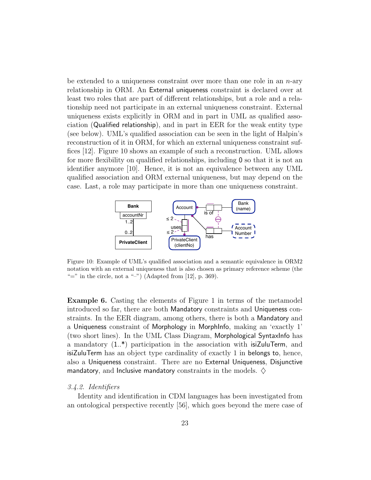be extended to a uniqueness constraint over more than one role in an  $n$ -ary relationship in ORM. An External uniqueness constraint is declared over at least two roles that are part of different relationships, but a role and a relationship need not participate in an external uniqueness constraint. External uniqueness exists explicitly in ORM and in part in UML as qualified association (Qualified relationship), and in part in EER for the weak entity type (see below). UML's qualified association can be seen in the light of Halpin's reconstruction of it in ORM, for which an external uniqueness constraint suffices [12]. Figure 10 shows an example of such a reconstruction. UML allows for more flexibility on qualified relationships, including 0 so that it is not an identifier anymore [10]. Hence, it is not an equivalence between any UML qualified association and ORM external uniqueness, but may depend on the case. Last, a role may participate in more than one uniqueness constraint.



Figure 10: Example of UML's qualified association and a semantic equivalence in ORM2 notation with an external uniqueness that is also chosen as primary reference scheme (the "=" in the circle, not a "-") (Adapted from [12], p. 369).

Example 6. Casting the elements of Figure 1 in terms of the metamodel introduced so far, there are both Mandatory constraints and Uniqueness constraints. In the EER diagram, among others, there is both a Mandatory and a Uniqueness constraint of Morphology in MorphInfo, making an 'exactly 1' (two short lines). In the UML Class Diagram, Morphological SyntaxInfo has a mandatory (1..\*) participation in the association with isiZuluTerm, and isiZuluTerm has an object type cardinality of exactly 1 in belongs to, hence, also a Uniqueness constraint. There are no External Uniqueness, Disjunctive mandatory, and Inclusive mandatory constraints in the models.  $\diamondsuit$ 

## 3.4.2. Identifiers

Identity and identification in CDM languages has been investigated from an ontological perspective recently [56], which goes beyond the mere case of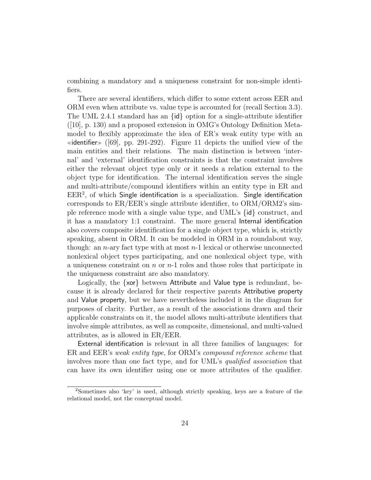combining a mandatory and a uniqueness constraint for non-simple identifiers.

There are several identifiers, which differ to some extent across EER and ORM even when attribute vs. value type is accounted for (recall Section 3.3). The UML 2.4.1 standard has an {id} option for a single-attribute identifier ([10], p. 130) and a proposed extension in OMG's Ontology Definition Metamodel to flexibly approximate the idea of ER's weak entity type with an «identifier» ([69], pp. 291-292). Figure 11 depicts the unified view of the main entities and their relations. The main distinction is between 'internal' and 'external' identification constraints is that the constraint involves either the relevant object type only or it needs a relation external to the object type for identification. The internal identification serves the single and multi-attribute/compound identifiers within an entity type in ER and  $EER<sup>2</sup>$ , of which Single identification is a specialization. Single identification corresponds to ER/EER's single attribute identifier, to ORM/ORM2's simple reference mode with a single value type, and UML's {id} construct, and it has a mandatory 1:1 constraint. The more general Internal identification also covers composite identification for a single object type, which is, strictly speaking, absent in ORM. It can be modeled in ORM in a roundabout way, though: an *n*-ary fact type with at most  $n-1$  lexical or otherwise unconnected nonlexical object types participating, and one nonlexical object type, with a uniqueness constraint on  $n \text{ or } n-1$  roles and those roles that participate in the uniqueness constraint are also mandatory.

Logically, the {xor} between Attribute and Value type is redundant, because it is already declared for their respective parents Attributive property and Value property, but we have nevertheless included it in the diagram for purposes of clarity. Further, as a result of the associations drawn and their applicable constraints on it, the model allows multi-attribute identifiers that involve simple attributes, as well as composite, dimensional, and multi-valued attributes, as is allowed in ER/EER.

External identification is relevant in all three families of languages: for ER and EER's weak entity type, for ORM's compound reference scheme that involves more than one fact type, and for UML's qualified association that can have its own identifier using one or more attributes of the qualifier.

<sup>2</sup>Sometimes also 'key' is used, although strictly speaking, keys are a feature of the relational model, not the conceptual model.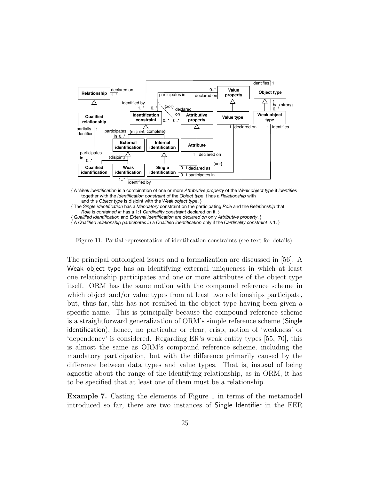

{ A *Weak identification* is a combination of one or more *Attributive property* of the *Weak object type* it *identifies* together with the *Identification constraint* of the *Object type* it has a *Relationship* with and this *Object type* is disjoint with the *Weak object type*. }

{ The *Single identification* has a *Mandatory* constraint on the participating *Role* and the *Relationship* that *Role* is *contained in* has a 1:1 *Cardinality constraint* declared on it. }

{ *Qualified identification* and *External identification* are *declared on* only *Attributive property*. }

{ A *Qualified relationship participates in* a *Qualified identification* only if the *Cardinality constraint* is 1. }

Figure 11: Partial representation of identification constraints (see text for details).

The principal ontological issues and a formalization are discussed in [56]. A Weak object type has an identifying external uniqueness in which at least one relationship participates and one or more attributes of the object type itself. ORM has the same notion with the compound reference scheme in which object and/or value types from at least two relationships participate, but, thus far, this has not resulted in the object type having been given a specific name. This is principally because the compound reference scheme is a straightforward generalization of ORM's simple reference scheme (Single identification), hence, no particular or clear, crisp, notion of 'weakness' or 'dependency' is considered. Regarding ER's weak entity types [55, 70], this is almost the same as ORM's compound reference scheme, including the mandatory participation, but with the difference primarily caused by the difference between data types and value types. That is, instead of being agnostic about the range of the identifying relationship, as in ORM, it has to be specified that at least one of them must be a relationship.

Example 7. Casting the elements of Figure 1 in terms of the metamodel introduced so far, there are two instances of Single Identifier in the EER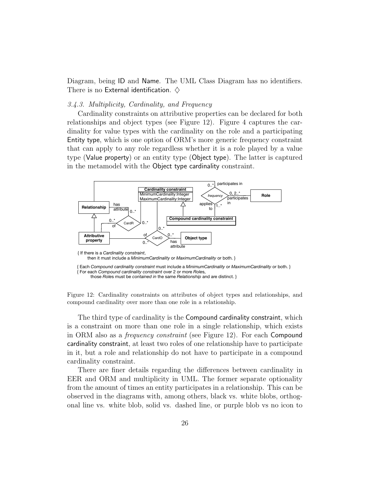Diagram, being ID and Name. The UML Class Diagram has no identifiers. There is no External identification.  $\diamondsuit$ 

## 3.4.3. Multiplicity, Cardinality, and Frequency

Cardinality constraints on attributive properties can be declared for both relationships and object types (see Figure 12). Figure 4 captures the cardinality for value types with the cardinality on the role and a participating Entity type, which is one option of ORM's more generic frequency constraint that can apply to any role regardless whether it is a role played by a value type (Value property) or an entity type (Object type). The latter is captured in the metamodel with the Object type cardinality constraint.



{ Each *Compound cardinality constraint* must include a *MinimumCardinality* or *MaximumCardinality* or both. } { For each *Compound cardinality constraint* over 2 or more *Role*s,

those *Role*s must be *contained in* the same *Relationship* and are distinct. }

Figure 12: Cardinality constraints on attributes of object types and relationships, and compound cardinality over more than one role in a relationship.

The third type of cardinality is the Compound cardinality constraint, which is a constraint on more than one role in a single relationship, which exists in ORM also as a *frequency constraint* (see Figure 12). For each Compound cardinality constraint, at least two roles of one relationship have to participate in it, but a role and relationship do not have to participate in a compound cardinality constraint.

There are finer details regarding the differences between cardinality in EER and ORM and multiplicity in UML. The former separate optionality from the amount of times an entity participates in a relationship. This can be observed in the diagrams with, among others, black vs. white blobs, orthogonal line vs. white blob, solid vs. dashed line, or purple blob vs no icon to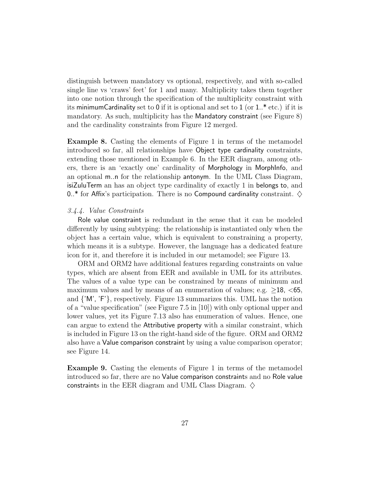distinguish between mandatory vs optional, respectively, and with so-called single line vs 'craws' feet' for 1 and many. Multiplicity takes them together into one notion through the specification of the multiplicity constraint with its minimumCardinality set to 0 if it is optional and set to 1 (or  $1.^*$  etc.) if it is mandatory. As such, multiplicity has the Mandatory constraint (see Figure 8) and the cardinality constraints from Figure 12 merged.

Example 8. Casting the elements of Figure 1 in terms of the metamodel introduced so far, all relationships have Object type cardinality constraints, extending those mentioned in Example 6. In the EER diagram, among others, there is an 'exactly one' cardinality of Morphology in MorphInfo, and an optional m..n for the relationship antonym. In the UML Class Diagram, isiZuluTerm an has an object type cardinality of exactly 1 in belongs to, and 0..\* for Affix's participation. There is no Compound cardinality constraint.  $\diamondsuit$ 

#### 3.4.4. Value Constraints

Role value constraint is redundant in the sense that it can be modeled differently by using subtyping: the relationship is instantiated only when the object has a certain value, which is equivalent to constraining a property, which means it is a subtype. However, the language has a dedicated feature icon for it, and therefore it is included in our metamodel; see Figure 13.

ORM and ORM2 have additional features regarding constraints on value types, which are absent from EER and available in UML for its attributes. The values of a value type can be constrained by means of minimum and maximum values and by means of an enumeration of values; e.g.  $>18$ ,  $< 65$ , and {'M', 'F'}, respectively. Figure 13 summarizes this. UML has the notion of a "value specification" (see Figure 7.5 in [10]) with only optional upper and lower values, yet its Figure 7.13 also has enumeration of values. Hence, one can argue to extend the Attributive property with a similar constraint, which is included in Figure 13 on the right-hand side of the figure. ORM and ORM2 also have a Value comparison constraint by using a value comparison operator; see Figure 14.

Example 9. Casting the elements of Figure 1 in terms of the metamodel introduced so far, there are no Value comparison constraints and no Role value constraints in the EER diagram and UML Class Diagram.  $\diamond$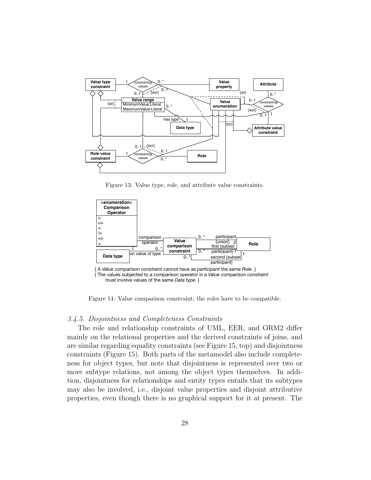

Figure 13: Value type, role, and attribute value constraints.



{ The values subjected to a *comparison operator* in a *Value comparison constraint* must involve values of the same *Data type*. }

Figure 14: Value comparison constraint; the roles have to be compatible.

#### 3.4.5. Disjointness and Completeness Constraints

The role and relationship constraints of UML, EER, and ORM2 differ mainly on the relational properties and the derived constraints of joins, and are similar regarding equality constraints (see Figure 15, top) and disjointness constraints (Figure 15). Both parts of the metamodel also include completeness for object types, but note that disjointness is represented over two or more subtype relations, not among the object types themselves. In addition, disjointness for relationships and entity types entails that its subtypes may also be involved, i.e., disjoint value properties and disjoint attributive properties, even though there is no graphical support for it at present. The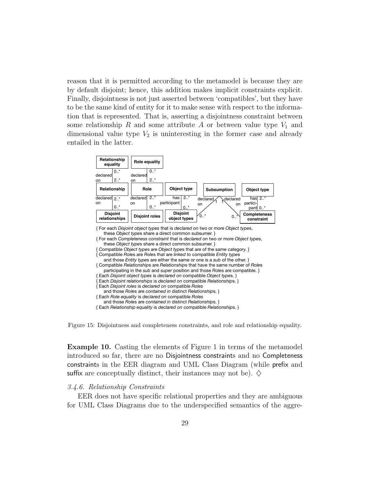reason that it is permitted according to the metamodel is because they are by default disjoint; hence, this addition makes implicit constraints explicit. Finally, disjointness is not just asserted between 'compatibles', but they have to be the same kind of entity for it to make sense with respect to the information that is represented. That is, asserting a disjointness constraint between some relationship R and some attribute A or between value type  $V_1$  and dimensional value type  $V_2$  is uninteresting in the former case and already entailed in the latter.



Figure 15: Disjointness and completeness constraints, and role and relationship equality.

Example 10. Casting the elements of Figure 1 in terms of the metamodel introduced so far, there are no Disjointness constraints and no Completeness constraints in the EER diagram and UML Class Diagram (while prefix and suffix are conceptually distinct, their instances may not be).  $\diamondsuit$ 

## 3.4.6. Relationship Constraints

EER does not have specific relational properties and they are ambiguous for UML Class Diagrams due to the underspecified semantics of the aggre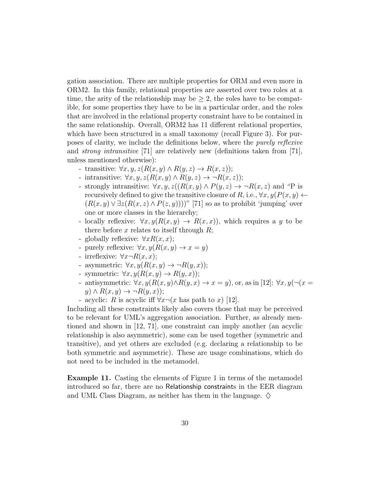gation association. There are multiple properties for ORM and even more in ORM2. In this family, relational properties are asserted over two roles at a time, the arity of the relationship may be  $\geq 2$ , the roles have to be compatible, for some properties they have to be in a particular order, and the roles that are involved in the relational property constraint have to be contained in the same relationship. Overall, ORM2 has 11 different relational properties, which have been structured in a small taxonomy (recall Figure 3). For purposes of clarity, we include the definitions below, where the purely reflexive and strong intransitive [71] are relatively new (definitions taken from [71], unless mentioned otherwise):

- transitive:  $\forall x, y, z(R(x, y) \land R(y, z) \rightarrow R(x, z));$
- intransitive:  $\forall x, y, z(R(x, y) \land R(y, z) \rightarrow \neg R(x, z));$
- strongly intransitive:  $\forall x, y, z((R(x, y) \land P(y, z) \rightarrow \neg R(x, z))$  and "P is recursively defined to give the transitive closure of R, i.e.,  $\forall x, y(P(x, y) \leftarrow$  $(R(x, y) \vee \exists z (R(x, z) \wedge P(z, y))))$ " [71] so as to prohibit 'jumping' over one or more classes in the hierarchy;
- locally reflexive:  $\forall x, y(R(x, y) \rightarrow R(x, x))$ , which requires a y to be there before x relates to itself through  $R$ ;
- globally reflexive:  $\forall x R(x,x);$
- purely reflexive:  $\forall x, y(R(x, y) \rightarrow x = y)$
- irreflexive:  $\forall x \neg R(x, x);$
- asymmetric:  $\forall x, y(R(x, y) \rightarrow \neg R(y, x));$
- symmetric:  $\forall x, y(R(x, y) \rightarrow R(y, x));$
- antisymmetric:  $\forall x, y(R(x, y) \land R(y, x) \rightarrow x = y)$ , or, as in [12]:  $\forall x, y(\neg(x = y))$  $y) \wedge R(x, y) \rightarrow \neg R(y, x)$ ;
- acyclic: R is acyclic iff  $\forall x \neg (x \text{ has path to } x)$  [12].

Including all these constraints likely also covers those that may be perceived to be relevant for UML's aggregation association. Further, as already mentioned and shown in [12, 71], one constraint can imply another (an acyclic relationship is also asymmetric), some can be used together (symmetric and transitive), and yet others are excluded (e.g. declaring a relationship to be both symmetric and asymmetric). These are usage combinations, which do not need to be included in the metamodel.

Example 11. Casting the elements of Figure 1 in terms of the metamodel introduced so far, there are no Relationship constraints in the EER diagram and UML Class Diagram, as neither has them in the language.  $\diamondsuit$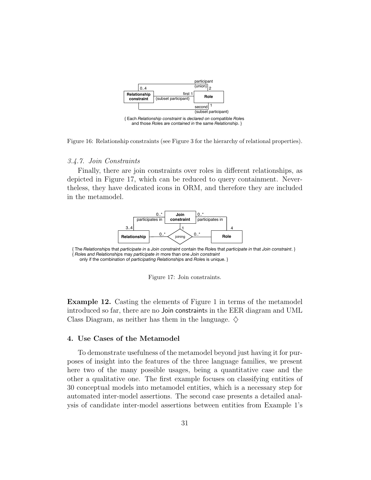

Figure 16: Relationship constraints (see Figure 3 for the hierarchy of relational properties).

## 3.4.7. Join Constraints

Finally, there are join constraints over roles in different relationships, as depicted in Figure 17, which can be reduced to query containment. Nevertheless, they have dedicated icons in ORM, and therefore they are included in the metamodel.



{ The *Relationship*s that *participate in* a *Join constraint* contain the *Role*s that *participate in* that *Join constraint*. } { *Role*s *and Relationship*s may *participate in* more than one *Join constraint* only if the combination of *participating Relationship*s and *Role*s is unique. }



Example 12. Casting the elements of Figure 1 in terms of the metamodel introduced so far, there are no Join constraints in the EER diagram and UML Class Diagram, as neither has them in the language.  $\diamondsuit$ 

#### 4. Use Cases of the Metamodel

To demonstrate usefulness of the metamodel beyond just having it for purposes of insight into the features of the three language families, we present here two of the many possible usages, being a quantitative case and the other a qualitative one. The first example focuses on classifying entities of 30 conceptual models into metamodel entities, which is a necessary step for automated inter-model assertions. The second case presents a detailed analysis of candidate inter-model assertions between entities from Example 1's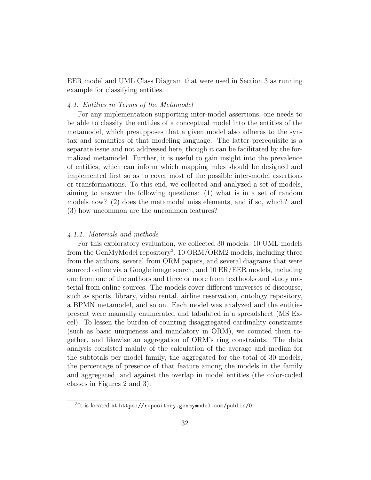EER model and UML Class Diagram that were used in Section 3 as running example for classifying entities.

## 4.1. Entities in Terms of the Metamodel

For any implementation supporting inter-model assertions, one needs to be able to classify the entities of a conceptual model into the entities of the metamodel, which presupposes that a given model also adheres to the syntax and semantics of that modeling language. The latter prerequisite is a separate issue and not addressed here, though it can be facilitated by the formalized metamodel. Further, it is useful to gain insight into the prevalence of entities, which can inform which mapping rules should be designed and implemented first so as to cover most of the possible inter-model assertions or transformations. To this end, we collected and analyzed a set of models, aiming to answer the following questions: (1) what is in a set of random models now? (2) does the metamodel miss elements, and if so, which? and (3) how uncommon are the uncommon features?

## 4.1.1. Materials and methods

For this exploratory evaluation, we collected 30 models: 10 UML models from the GenMyModel repository<sup>3</sup>, 10 ORM/ORM2 models, including three from the authors, several from ORM papers, and several diagrams that were sourced online via a Google image search, and 10 ER/EER models, including one from one of the authors and three or more from textbooks and study material from online sources. The models cover different universes of discourse, such as sports, library, video rental, airline reservation, ontology repository, a BPMN metamodel, and so on. Each model was analyzed and the entities present were manually enumerated and tabulated in a spreadsheet (MS Excel). To lessen the burden of counting disaggregated cardinality constraints (such as basic uniqueness and mandatory in ORM), we counted them together, and likewise an aggregation of ORM's ring constraints. The data analysis consisted mainly of the calculation of the average and median for the subtotals per model family, the aggregated for the total of 30 models, the percentage of presence of that feature among the models in the family and aggregated, and against the overlap in model entities (the color-coded classes in Figures 2 and 3).

 ${}^{3}$ It is located at https://repository.genmymodel.com/public/0.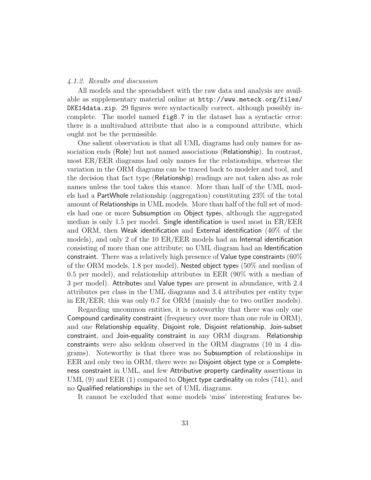## 4.1.2. Results and discussion

All models and the spreadsheet with the raw data and analysis are available as supplementary material online at http://www.meteck.org/files/ DKE14data.zip. 29 figures were syntactically correct, although possibly incomplete. The model named fig8.7 in the dataset has a syntactic error: there is a multivalued attribute that also is a compound attribute, which ought not be the permissible.

One salient observation is that all UML diagrams had only names for association ends (Role) but not named associations (Relationship). In contrast, most ER/EER diagrams had only names for the relationships, whereas the variation in the ORM diagrams can be traced back to modeler and tool, and the decision that fact type (Relationship) readings are not taken also as role names unless the tool takes this stance. More than half of the UML models had a PartWhole relationship (aggregation) constituting 23% of the total amount of Relationships in UML models. More than half of the full set of models had one or more Subsumption on Object types, although the aggregated median is only 1.5 per model. Single identification is used most in ER/EER and ORM, then Weak identification and External identification (40% of the models), and only 2 of the 10 ER/EER models had an Internal identification consisting of more than one attribute; no UML diagram had an Identification constraint. There was a relatively high presence of Value type constraints (60% of the ORM models, 1.8 per model), Nested object types (50% and median of 0.5 per model), and relationship attributes in EER (90% with a median of 3 per model). Attributes and Value types are present in abundance, with 2.4 attributes per class in the UML diagrams and 3.4 attributes per entity type in ER/EER; this was only 0.7 for ORM (mainly due to two outlier models).

Regarding uncommon entities, it is noteworthy that there was only one Compound cardinality constraint (frequency over more than one role in ORM), and one Relationship equality, Disjoint role, Disjoint relationship, Join-subset constraint, and Join-equality constraint in any ORM diagram. Relationship constraints were also seldom observed in the ORM diagrams (10 in 4 diagrams). Noteworthy is that there was no Subsumption of relationships in EER and only two in ORM, there were no Disjoint object type or a Completeness constraint in UML, and few Attributive property cardinality assertions in UML (9) and EER (1) compared to Object type cardinality on roles (741), and no Qualified relationships in the set of UML diagrams.

It cannot be excluded that some models 'miss' interesting features be-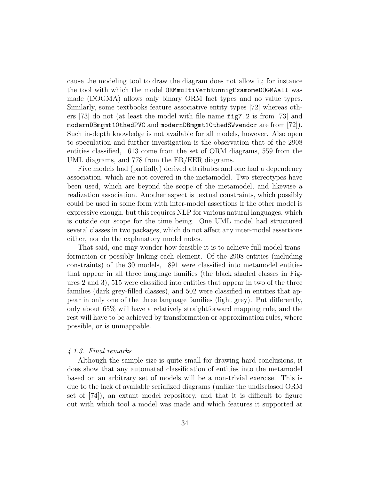cause the modeling tool to draw the diagram does not allow it; for instance the tool with which the model ORMmultiVerbRunnigExamomeDOGMAall was made (DOGMA) allows only binary ORM fact types and no value types. Similarly, some textbooks feature associative entity types [72] whereas others [73] do not (at least the model with file name fig7.2 is from [73] and modernDBmgmt10thedPVC and modernDBmgmt10thedSWvendor are from [72]). Such in-depth knowledge is not available for all models, however. Also open to speculation and further investigation is the observation that of the 2908 entities classified, 1613 come from the set of ORM diagrams, 559 from the UML diagrams, and 778 from the ER/EER diagrams.

Five models had (partially) derived attributes and one had a dependency association, which are not covered in the metamodel. Two stereotypes have been used, which are beyond the scope of the metamodel, and likewise a realization association. Another aspect is textual constraints, which possibly could be used in some form with inter-model assertions if the other model is expressive enough, but this requires NLP for various natural languages, which is outside our scope for the time being. One UML model had structured several classes in two packages, which do not affect any inter-model assertions either, nor do the explanatory model notes.

That said, one may wonder how feasible it is to achieve full model transformation or possibly linking each element. Of the 2908 entities (including constraints) of the 30 models, 1891 were classified into metamodel entities that appear in all three language families (the black shaded classes in Figures 2 and 3), 515 were classified into entities that appear in two of the three families (dark grey-filled classes), and 502 were classified in entities that appear in only one of the three language families (light grey). Put differently, only about 65% will have a relatively straightforward mapping rule, and the rest will have to be achieved by transformation or approximation rules, where possible, or is unmappable.

## 4.1.3. Final remarks

Although the sample size is quite small for drawing hard conclusions, it does show that any automated classification of entities into the metamodel based on an arbitrary set of models will be a non-trivial exercise. This is due to the lack of available serialized diagrams (unlike the undisclosed ORM set of [74]), an extant model repository, and that it is difficult to figure out with which tool a model was made and which features it supported at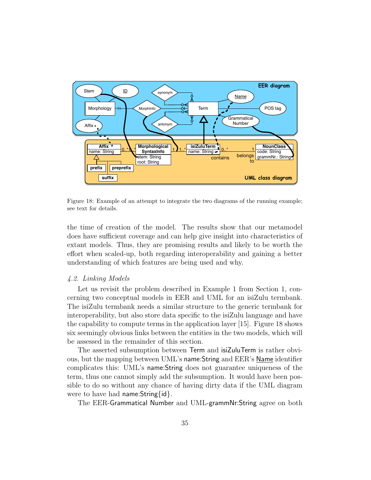

Figure 18: Example of an attempt to integrate the two diagrams of the running example; see text for details.

the time of creation of the model. The results show that our metamodel does have sufficient coverage and can help give insight into characteristics of extant models. Thus, they are promising results and likely to be worth the effort when scaled-up, both regarding interoperability and gaining a better understanding of which features are being used and why.

## 4.2. Linking Models

Let us revisit the problem described in Example 1 from Section 1, concerning two conceptual models in EER and UML for an isiZulu termbank. The isiZulu termbank needs a similar structure to the generic termbank for interoperability, but also store data specific to the isiZulu language and have the capability to compute terms in the application layer [15]. Figure 18 shows six seemingly obvious links between the entities in the two models, which will be assessed in the remainder of this section.

The asserted subsumption between Term and isiZuluTerm is rather obvious, but the mapping between UML's name:String and EER's Name identifier complicates this: UML's name:String does not guarantee uniqueness of the term, thus one cannot simply add the subsumption. It would have been possible to do so without any chance of having dirty data if the UML diagram were to have had name: String {id}.

The EER-Grammatical Number and UML-grammNr:String agree on both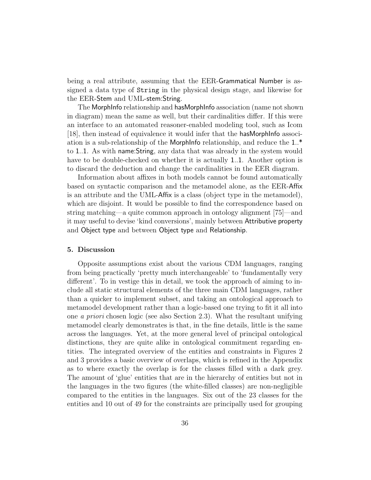being a real attribute, assuming that the EER-Grammatical Number is assigned a data type of String in the physical design stage, and likewise for the EER-Stem and UML-stem:String.

The MorphInfo relationship and hasMorphInfo association (name not shown in diagram) mean the same as well, but their cardinalities differ. If this were an interface to an automated reasoner-enabled modeling tool, such as Icom [18], then instead of equivalence it would infer that the hasMorphInfo association is a sub-relationship of the MorphInfo relationship, and reduce the 1..\* to 1..1. As with name:String, any data that was already in the system would have to be double-checked on whether it is actually 1.1. Another option is to discard the deduction and change the cardinalities in the EER diagram.

Information about affixes in both models cannot be found automatically based on syntactic comparison and the metamodel alone, as the EER-Affix is an attribute and the UML-Affix is a class (object type in the metamodel), which are disjoint. It would be possible to find the correspondence based on string matching—a quite common approach in ontology alignment [75]—and it may useful to devise 'kind conversions', mainly between Attributive property and Object type and between Object type and Relationship.

## 5. Discussion

Opposite assumptions exist about the various CDM languages, ranging from being practically 'pretty much interchangeable' to 'fundamentally very different'. To in vestige this in detail, we took the approach of aiming to include all static structural elements of the three main CDM languages, rather than a quicker to implement subset, and taking an ontological approach to metamodel development rather than a logic-based one trying to fit it all into one a priori chosen logic (see also Section 2.3). What the resultant unifying metamodel clearly demonstrates is that, in the fine details, little is the same across the languages. Yet, at the more general level of principal ontological distinctions, they are quite alike in ontological commitment regarding entities. The integrated overview of the entities and constraints in Figures 2 and 3 provides a basic overview of overlaps, which is refined in the Appendix as to where exactly the overlap is for the classes filled with a dark grey. The amount of 'glue' entities that are in the hierarchy of entities but not in the languages in the two figures (the white-filled classes) are non-negligible compared to the entities in the languages. Six out of the 23 classes for the entities and 10 out of 49 for the constraints are principally used for grouping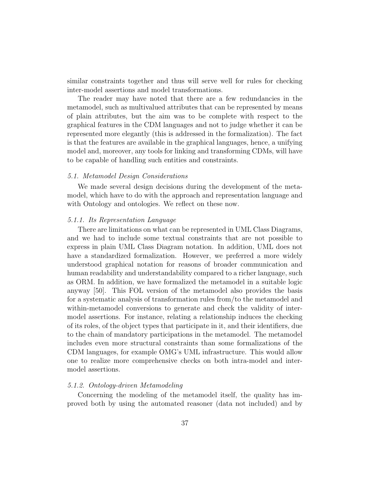similar constraints together and thus will serve well for rules for checking inter-model assertions and model transformations.

The reader may have noted that there are a few redundancies in the metamodel, such as multivalued attributes that can be represented by means of plain attributes, but the aim was to be complete with respect to the graphical features in the CDM languages and not to judge whether it can be represented more elegantly (this is addressed in the formalization). The fact is that the features are available in the graphical languages, hence, a unifying model and, moreover, any tools for linking and transforming CDMs, will have to be capable of handling such entities and constraints.

## 5.1. Metamodel Design Considerations

We made several design decisions during the development of the metamodel, which have to do with the approach and representation language and with Ontology and ontologies. We reflect on these now.

## 5.1.1. Its Representation Language

There are limitations on what can be represented in UML Class Diagrams, and we had to include some textual constraints that are not possible to express in plain UML Class Diagram notation. In addition, UML does not have a standardized formalization. However, we preferred a more widely understood graphical notation for reasons of broader communication and human readability and understandability compared to a richer language, such as ORM. In addition, we have formalized the metamodel in a suitable logic anyway [50]. This FOL version of the metamodel also provides the basis for a systematic analysis of transformation rules from/to the metamodel and within-metamodel conversions to generate and check the validity of intermodel assertions. For instance, relating a relationship induces the checking of its roles, of the object types that participate in it, and their identifiers, due to the chain of mandatory participations in the metamodel. The metamodel includes even more structural constraints than some formalizations of the CDM languages, for example OMG's UML infrastructure. This would allow one to realize more comprehensive checks on both intra-model and intermodel assertions.

#### 5.1.2. Ontology-driven Metamodeling

Concerning the modeling of the metamodel itself, the quality has improved both by using the automated reasoner (data not included) and by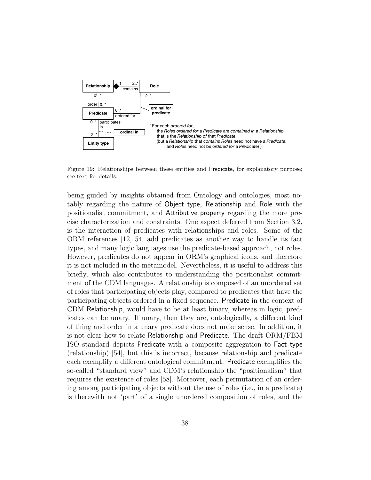

Figure 19: Relationships between these entities and Predicate, for explanatory purpose; see text for details.

being guided by insights obtained from Ontology and ontologies, most notably regarding the nature of Object type, Relationship and Role with the positionalist commitment, and Attributive property regarding the more precise characterization and constraints. One aspect deferred from Section 3.2, is the interaction of predicates with relationships and roles. Some of the ORM references [12, 54] add predicates as another way to handle its fact types, and many logic languages use the predicate-based approach, not roles. However, predicates do not appear in ORM's graphical icons, and therefore it is not included in the metamodel. Nevertheless, it is useful to address this briefly, which also contributes to understanding the positionalist commitment of the CDM languages. A relationship is composed of an unordered set of roles that participating objects play, compared to predicates that have the participating objects ordered in a fixed sequence. Predicate in the context of CDM Relationship, would have to be at least binary, whereas in logic, predicates can be unary. If unary, then they are, ontologically, a different kind of thing and order in a unary predicate does not make sense. In addition, it is not clear how to relate Relationship and Predicate. The draft ORM/FBM ISO standard depicts Predicate with a composite aggregation to Fact type (relationship) [54], but this is incorrect, because relationship and predicate each exemplify a different ontological commitment. Predicate exemplifies the so-called "standard view" and CDM's relationship the "positionalism" that requires the existence of roles [58]. Moreover, each permutation of an ordering among participating objects without the use of roles (i.e., in a predicate) is therewith not 'part' of a single unordered composition of roles, and the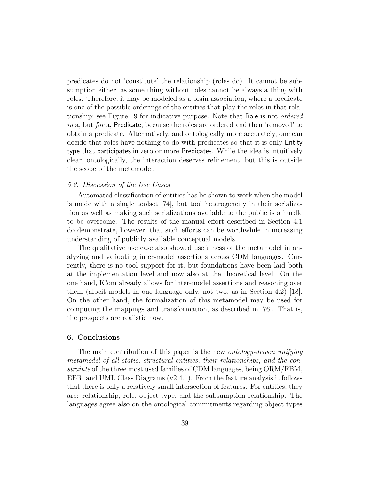predicates do not 'constitute' the relationship (roles do). It cannot be subsumption either, as some thing without roles cannot be always a thing with roles. Therefore, it may be modeled as a plain association, where a predicate is one of the possible orderings of the entities that play the roles in that relationship; see Figure 19 for indicative purpose. Note that Role is not *ordered* in a, but for a, Predicate, because the roles are ordered and then 'removed' to obtain a predicate. Alternatively, and ontologically more accurately, one can decide that roles have nothing to do with predicates so that it is only Entity type that participates in zero or more Predicates. While the idea is intuitively clear, ontologically, the interaction deserves refinement, but this is outside the scope of the metamodel.

## 5.2. Discussion of the Use Cases

Automated classification of entities has be shown to work when the model is made with a single toolset [74], but tool heterogeneity in their serialization as well as making such serializations available to the public is a hurdle to be overcome. The results of the manual effort described in Section 4.1 do demonstrate, however, that such efforts can be worthwhile in increasing understanding of publicly available conceptual models.

The qualitative use case also showed usefulness of the metamodel in analyzing and validating inter-model assertions across CDM languages. Currently, there is no tool support for it, but foundations have been laid both at the implementation level and now also at the theoretical level. On the one hand, ICom already allows for inter-model assertions and reasoning over them (albeit models in one language only, not two, as in Section 4.2) [18]. On the other hand, the formalization of this metamodel may be used for computing the mappings and transformation, as described in [76]. That is, the prospects are realistic now.

## 6. Conclusions

The main contribution of this paper is the new *ontology-driven unifying* metamodel of all static, structural entities, their relationships, and the constraints of the three most used families of CDM languages, being ORM/FBM, EER, and UML Class Diagrams (v2.4.1). From the feature analysis it follows that there is only a relatively small intersection of features. For entities, they are: relationship, role, object type, and the subsumption relationship. The languages agree also on the ontological commitments regarding object types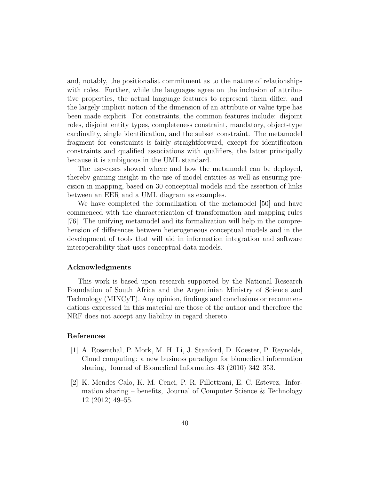and, notably, the positionalist commitment as to the nature of relationships with roles. Further, while the languages agree on the inclusion of attributive properties, the actual language features to represent them differ, and the largely implicit notion of the dimension of an attribute or value type has been made explicit. For constraints, the common features include: disjoint roles, disjoint entity types, completeness constraint, mandatory, object-type cardinality, single identification, and the subset constraint. The metamodel fragment for constraints is fairly straightforward, except for identification constraints and qualified associations with qualifiers, the latter principally because it is ambiguous in the UML standard.

The use-cases showed where and how the metamodel can be deployed, thereby gaining insight in the use of model entities as well as ensuring precision in mapping, based on 30 conceptual models and the assertion of links between an EER and a UML diagram as examples.

We have completed the formalization of the metamodel [50] and have commenced with the characterization of transformation and mapping rules [76]. The unifying metamodel and its formalization will help in the comprehension of differences between heterogeneous conceptual models and in the development of tools that will aid in information integration and software interoperability that uses conceptual data models.

## Acknowledgments

This work is based upon research supported by the National Research Foundation of South Africa and the Argentinian Ministry of Science and Technology (MINCyT). Any opinion, findings and conclusions or recommendations expressed in this material are those of the author and therefore the NRF does not accept any liability in regard thereto.

## References

- [1] A. Rosenthal, P. Mork, M. H. Li, J. Stanford, D. Koester, P. Reynolds, Cloud computing: a new business paradigm for biomedical information sharing, Journal of Biomedical Informatics 43 (2010) 342–353.
- [2] K. Mendes Calo, K. M. Cenci, P. R. Fillottrani, E. C. Estevez, Information sharing – benefits, Journal of Computer Science & Technology 12 (2012) 49–55.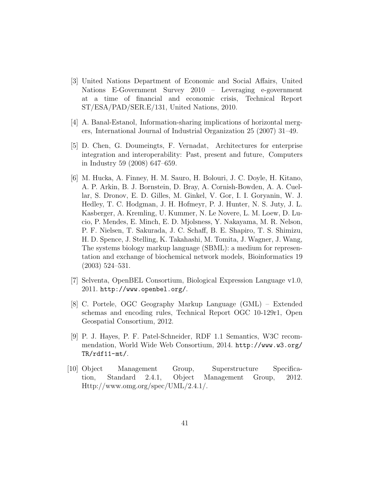- [3] United Nations Department of Economic and Social Affairs, United Nations E-Government Survey 2010 – Leveraging e-government at a time of financial and economic crisis, Technical Report ST/ESA/PAD/SER.E/131, United Nations, 2010.
- [4] A. Banal-Estanol, Information-sharing implications of horizontal mergers, International Journal of Industrial Organization 25 (2007) 31–49.
- [5] D. Chen, G. Doumeingts, F. Vernadat, Architectures for enterprise integration and interoperability: Past, present and future, Computers in Industry 59 (2008) 647–659.
- [6] M. Hucka, A. Finney, H. M. Sauro, H. Bolouri, J. C. Doyle, H. Kitano, A. P. Arkin, B. J. Bornstein, D. Bray, A. Cornish-Bowden, A. A. Cuellar, S. Dronov, E. D. Gilles, M. Ginkel, V. Gor, I. I. Goryanin, W. J. Hedley, T. C. Hodgman, J. H. Hofmeyr, P. J. Hunter, N. S. Juty, J. L. Kasberger, A. Kremling, U. Kummer, N. Le Novere, L. M. Loew, D. Lucio, P. Mendes, E. Minch, E. D. Mjolsness, Y. Nakayama, M. R. Nelson, P. F. Nielsen, T. Sakurada, J. C. Schaff, B. E. Shapiro, T. S. Shimizu, H. D. Spence, J. Stelling, K. Takahashi, M. Tomita, J. Wagner, J. Wang, The systems biology markup language (SBML): a medium for representation and exchange of biochemical network models, Bioinformatics 19 (2003) 524–531.
- [7] Selventa, OpenBEL Consortium, Biological Expression Language v1.0, 2011. http://www.openbel.org/.
- [8] C. Portele, OGC Geography Markup Language (GML) Extended schemas and encoding rules, Technical Report OGC 10-129r1, Open Geospatial Consortium, 2012.
- [9] P. J. Hayes, P. F. Patel-Schneider, RDF 1.1 Semantics, W3C recommendation, World Wide Web Consortium, 2014. http://www.w3.org/ TR/rdf11-mt/.
- [10] Object Management Group, Superstructure Specification, Standard 2.4.1, Object Management Group, 2012. Http://www.omg.org/spec/UML/2.4.1/.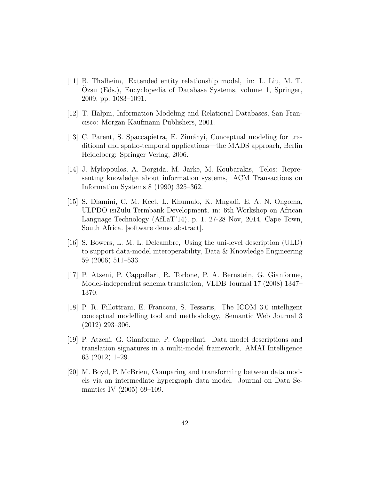- [11] B. Thalheim, Extended entity relationship model, in: L. Liu, M. T. Ozsu (Eds.), Encyclopedia of Database Systems, volume 1, Springer, 2009, pp. 1083–1091.
- [12] T. Halpin, Information Modeling and Relational Databases, San Francisco: Morgan Kaufmann Publishers, 2001.
- [13] C. Parent, S. Spaccapietra, E. Zim´anyi, Conceptual modeling for traditional and spatio-temporal applications—the MADS approach, Berlin Heidelberg: Springer Verlag, 2006.
- [14] J. Mylopoulos, A. Borgida, M. Jarke, M. Koubarakis, Telos: Representing knowledge about information systems, ACM Transactions on Information Systems 8 (1990) 325–362.
- [15] S. Dlamini, C. M. Keet, L. Khumalo, K. Mngadi, E. A. N. Ongoma, ULPDO isiZulu Termbank Development, in: 6th Workshop on African Language Technology (AfLaT'14), p. 1. 27-28 Nov, 2014, Cape Town, South Africa. [software demo abstract].
- [16] S. Bowers, L. M. L. Delcambre, Using the uni-level description (ULD) to support data-model interoperability, Data & Knowledge Engineering 59 (2006) 511–533.
- [17] P. Atzeni, P. Cappellari, R. Torlone, P. A. Bernstein, G. Gianforme, Model-independent schema translation, VLDB Journal 17 (2008) 1347– 1370.
- [18] P. R. Fillottrani, E. Franconi, S. Tessaris, The ICOM 3.0 intelligent conceptual modelling tool and methodology, Semantic Web Journal 3 (2012) 293–306.
- [19] P. Atzeni, G. Gianforme, P. Cappellari, Data model descriptions and translation signatures in a multi-model framework, AMAI Intelligence 63 (2012) 1–29.
- [20] M. Boyd, P. McBrien, Comparing and transforming between data models via an intermediate hypergraph data model, Journal on Data Semantics IV (2005) 69–109.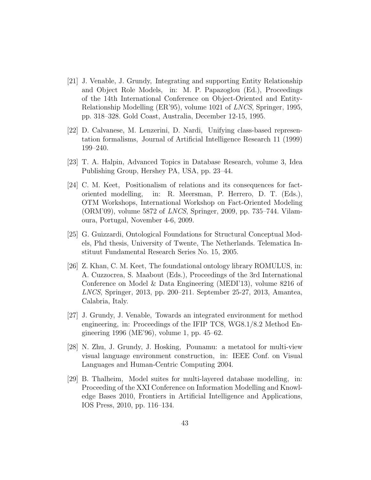- [21] J. Venable, J. Grundy, Integrating and supporting Entity Relationship and Object Role Models, in: M. P. Papazoglou (Ed.), Proceedings of the 14th International Conference on Object-Oriented and Entity-Relationship Modelling (ER'95), volume 1021 of LNCS, Springer, 1995, pp. 318–328. Gold Coast, Australia, December 12-15, 1995.
- [22] D. Calvanese, M. Lenzerini, D. Nardi, Unifying class-based representation formalisms, Journal of Artificial Intelligence Research 11 (1999) 199–240.
- [23] T. A. Halpin, Advanced Topics in Database Research, volume 3, Idea Publishing Group, Hershey PA, USA, pp. 23–44.
- [24] C. M. Keet, Positionalism of relations and its consequences for factoriented modelling, in: R. Meersman, P. Herrero, D. T. (Eds.), OTM Workshops, International Workshop on Fact-Oriented Modeling (ORM'09), volume 5872 of LNCS, Springer, 2009, pp. 735–744. Vilamoura, Portugal, November 4-6, 2009.
- [25] G. Guizzardi, Ontological Foundations for Structural Conceptual Models, Phd thesis, University of Twente, The Netherlands. Telematica Instituut Fundamental Research Series No. 15, 2005.
- [26] Z. Khan, C. M. Keet, The foundational ontology library ROMULUS, in: A. Cuzzocrea, S. Maabout (Eds.), Proceedings of the 3rd International Conference on Model & Data Engineering (MEDI'13), volume 8216 of LNCS, Springer, 2013, pp. 200–211. September 25-27, 2013, Amantea, Calabria, Italy.
- [27] J. Grundy, J. Venable, Towards an integrated environment for method engineering, in: Proceedings of the IFIP TC8, WG8.1/8.2 Method Engineering 1996 (ME'96), volume 1, pp. 45–62.
- [28] N. Zhu, J. Grundy, J. Hosking, Pounamu: a metatool for multi-view visual language environment construction, in: IEEE Conf. on Visual Languages and Human-Centric Computing 2004.
- [29] B. Thalheim, Model suites for multi-layered database modelling, in: Proceeding of the XXI Conference on Information Modelling and Knowledge Bases 2010, Frontiers in Artificial Intelligence and Applications, IOS Press, 2010, pp. 116–134.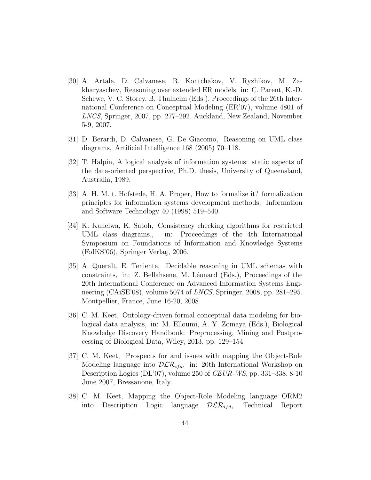- [30] A. Artale, D. Calvanese, R. Kontchakov, V. Ryzhikov, M. Zakharyaschev, Reasoning over extended ER models, in: C. Parent, K.-D. Schewe, V. C. Storey, B. Thalheim (Eds.), Proceedings of the 26th International Conference on Conceptual Modeling (ER'07), volume 4801 of LNCS, Springer, 2007, pp. 277–292. Auckland, New Zealand, November 5-9, 2007.
- [31] D. Berardi, D. Calvanese, G. De Giacomo, Reasoning on UML class diagrams, Artificial Intelligence 168 (2005) 70–118.
- [32] T. Halpin, A logical analysis of information systems: static aspects of the data-oriented perspective, Ph.D. thesis, University of Queensland, Australia, 1989.
- [33] A. H. M. t. Hofstede, H. A. Proper, How to formalize it? formalization principles for information systems development methods, Information and Software Technology 40 (1998) 519–540.
- [34] K. Kaneiwa, K. Satoh, Consistency checking algorithms for restricted UML class diagrams., in: Proceedings of the 4th International Symposium on Foundations of Information and Knowledge Systems (FoIKS'06), Springer Verlag, 2006.
- [35] A. Queralt, E. Teniente, Decidable reasoning in UML schemas with constraints, in: Z. Bellahsene, M. Léonard (Eds.), Proceedings of the 20th International Conference on Advanced Information Systems Engineering (CAiSE'08), volume 5074 of LNCS, Springer, 2008, pp. 281–295. Montpellier, France, June 16-20, 2008.
- [36] C. M. Keet, Ontology-driven formal conceptual data modeling for biological data analysis, in: M. Elloumi, A. Y. Zomaya (Eds.), Biological Knowledge Discovery Handbook: Preprocessing, Mining and Postprocessing of Biological Data, Wiley, 2013, pp. 129–154.
- [37] C. M. Keet, Prospects for and issues with mapping the Object-Role Modeling language into  $DLR_{ifd}$ , in: 20th International Workshop on Description Logics (DL'07), volume 250 of CEUR-WS, pp. 331–338. 8-10 June 2007, Bressanone, Italy.
- [38] C. M. Keet, Mapping the Object-Role Modeling language ORM2 into Description Logic language  $\mathcal{DLR}_{ifd}$ , Technical Report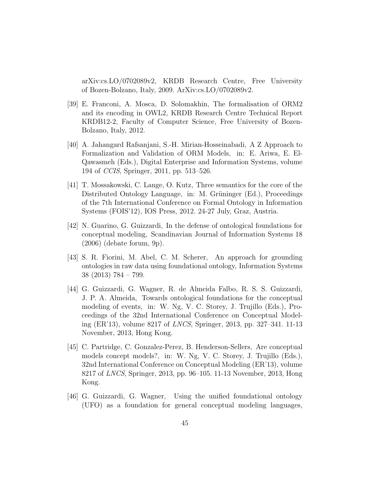arXiv:cs.LO/0702089v2, KRDB Research Centre, Free University of Bozen-Bolzano, Italy, 2009. ArXiv:cs.LO/0702089v2.

- [39] E. Franconi, A. Mosca, D. Solomakhin, The formalisation of ORM2 and its encoding in OWL2, KRDB Research Centre Technical Report KRDB12-2, Faculty of Computer Science, Free University of Bozen-Bolzano, Italy, 2012.
- [40] A. Jahangard Rafsanjani, S.-H. Mirian-Hosseinabadi, A Z Approach to Formalization and Validation of ORM Models, in: E. Ariwa, E. El-Qawasmeh (Eds.), Digital Enterprise and Information Systems, volume 194 of CCIS, Springer, 2011, pp. 513–526.
- [41] T. Mossakowski, C. Lange, O. Kutz, Three semantics for the core of the Distributed Ontology Language, in: M. Grüninger (Ed.), Proceedings of the 7th International Conference on Formal Ontology in Information Systems (FOIS'12), IOS Press, 2012. 24-27 July, Graz, Austria.
- [42] N. Guarino, G. Guizzardi, In the defense of ontological foundations for conceptual modeling, Scandinavian Journal of Information Systems 18 (2006) (debate forum, 9p).
- [43] S. R. Fiorini, M. Abel, C. M. Scherer, An approach for grounding ontologies in raw data using foundational ontology, Information Systems 38 (2013) 784 – 799.
- [44] G. Guizzardi, G. Wagner, R. de Almeida Falbo, R. S. S. Guizzardi, J. P. A. Almeida, Towards ontological foundations for the conceptual modeling of events, in: W. Ng, V. C. Storey, J. Trujillo (Eds.), Proceedings of the 32nd International Conference on Conceptual Modeling (ER'13), volume 8217 of LNCS, Springer, 2013, pp. 327–341. 11-13 November, 2013, Hong Kong.
- [45] C. Partridge, C. Gonzalez-Perez, B. Henderson-Sellers, Are conceptual models concept models?, in: W. Ng, V. C. Storey, J. Trujillo (Eds.), 32nd International Conference on Conceptual Modeling (ER'13), volume 8217 of LNCS, Springer, 2013, pp. 96–105. 11-13 November, 2013, Hong Kong.
- [46] G. Guizzardi, G. Wagner, Using the unified foundational ontology (UFO) as a foundation for general conceptual modeling languages,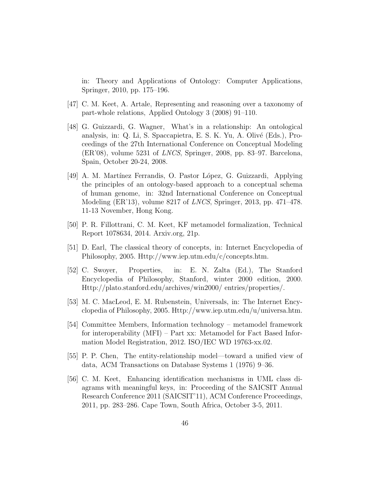in: Theory and Applications of Ontology: Computer Applications, Springer, 2010, pp. 175–196.

- [47] C. M. Keet, A. Artale, Representing and reasoning over a taxonomy of part-whole relations, Applied Ontology 3 (2008) 91–110.
- [48] G. Guizzardi, G. Wagner, What's in a relationship: An ontological analysis, in: Q. Li, S. Spaccapietra, E. S. K. Yu, A. Olivé (Eds.), Proceedings of the 27th International Conference on Conceptual Modeling (ER'08), volume 5231 of LNCS, Springer, 2008, pp. 83–97. Barcelona, Spain, October 20-24, 2008.
- [49] A. M. Mart´ınez Ferrandis, O. Pastor L´opez, G. Guizzardi, Applying the principles of an ontology-based approach to a conceptual schema of human genome, in: 32nd International Conference on Conceptual Modeling (ER'13), volume 8217 of LNCS, Springer, 2013, pp. 471–478. 11-13 November, Hong Kong.
- [50] P. R. Fillottrani, C. M. Keet, KF metamodel formalization, Technical Report 1078634, 2014. Arxiv.org, 21p.
- [51] D. Earl, The classical theory of concepts, in: Internet Encyclopedia of Philosophy, 2005. Http://www.iep.utm.edu/c/concepts.htm.
- [52] C. Swoyer, Properties, in: E. N. Zalta (Ed.), The Stanford Encyclopedia of Philosophy, Stanford, winter 2000 edition, 2000. Http://plato.stanford.edu/archives/win2000/ entries/properties/.
- [53] M. C. MacLeod, E. M. Rubenstein, Universals, in: The Internet Encyclopedia of Philosophy, 2005. Http://www.iep.utm.edu/u/universa.htm.
- [54] Committee Members, Information technology metamodel framework for interoperability (MFI) – Part xx: Metamodel for Fact Based Information Model Registration, 2012. ISO/IEC WD 19763-xx.02.
- [55] P. P. Chen, The entity-relationship model—toward a unified view of data, ACM Transactions on Database Systems 1 (1976) 9–36.
- [56] C. M. Keet, Enhancing identification mechanisms in UML class diagrams with meaningful keys, in: Proceeding of the SAICSIT Annual Research Conference 2011 (SAICSIT'11), ACM Conference Proceedings, 2011, pp. 283–286. Cape Town, South Africa, October 3-5, 2011.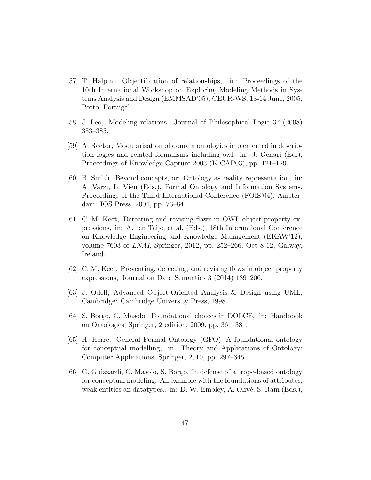- [57] T. Halpin, Objectification of relationships, in: Proceedings of the 10th International Workshop on Exploring Modeling Methods in Systems Analysis and Design (EMMSAD'05), CEUR-WS. 13-14 June, 2005, Porto, Portugal.
- [58] J. Leo, Modeling relations, Journal of Philosophical Logic 37 (2008) 353–385.
- [59] A. Rector, Modularisation of domain ontologies implemented in description logics and related formalisms including owl, in: J. Genari (Ed.), Proceedings of Knowledge Capture 2003 (K-CAP03), pp. 121–129.
- [60] B. Smith, Beyond concepts, or: Ontology as reality representation, in: A. Varzi, L. Vieu (Eds.), Formal Ontology and Information Systems. Proceedings of the Third International Conference (FOIS'04), Amsterdam: IOS Press, 2004, pp. 73–84.
- [61] C. M. Keet, Detecting and revising flaws in OWL object property expressions, in: A. ten Teije, et al. (Eds.), 18th International Conference on Knowledge Engineering and Knowledge Management (EKAW'12), volume 7603 of LNAI, Springer, 2012, pp. 252–266. Oct 8-12, Galway, Ireland.
- [62] C. M. Keet, Preventing, detecting, and revising flaws in object property expressions, Journal on Data Semantics 3 (2014) 189–206.
- [63] J. Odell, Advanced Object-Oriented Analysis & Design using UML, Cambridge: Cambridge University Press, 1998.
- [64] S. Borgo, C. Masolo, Foundational choices in DOLCE, in: Handbook on Ontologies, Springer, 2 edition, 2009, pp. 361–381.
- [65] H. Herre, General Formal Ontology (GFO): A foundational ontology for conceptual modelling, in: Theory and Applications of Ontology: Computer Applications, Springer, 2010, pp. 297–345.
- [66] G. Guizzardi, C. Masolo, S. Borgo, In defense of a trope-based ontology for conceptual modeling: An example with the foundations of attributes, weak entities an datatypes., in: D. W. Embley, A. Olivé, S. Ram (Eds.),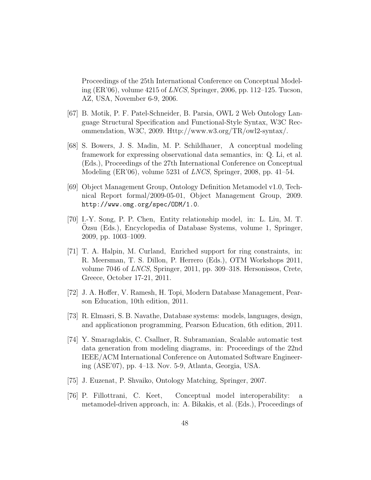Proceedings of the 25th International Conference on Conceptual Modeling (ER'06), volume 4215 of LNCS, Springer, 2006, pp. 112–125. Tucson, AZ, USA, November 6-9, 2006.

- [67] B. Motik, P. F. Patel-Schneider, B. Parsia, OWL 2 Web Ontology Language Structural Specification and Functional-Style Syntax, W3C Recommendation, W3C, 2009. Http://www.w3.org/TR/owl2-syntax/.
- [68] S. Bowers, J. S. Madin, M. P. Schildhauer, A conceptual modeling framework for expressing observational data semantics, in: Q. Li, et al. (Eds.), Proceedings of the 27th International Conference on Conceptual Modeling (ER'06), volume 5231 of *LNCS*, Springer, 2008, pp. 41–54.
- [69] Object Management Group, Ontology Definition Metamodel v1.0, Technical Report formal/2009-05-01, Object Management Group, 2009. http://www.omg.org/spec/ODM/1.0.
- [70] I.-Y. Song, P. P. Chen, Entity relationship model, in: L. Liu, M. T. Ozsu (Eds.), Encyclopedia of Database Systems, volume 1, Springer, 2009, pp. 1003–1009.
- [71] T. A. Halpin, M. Curland, Enriched support for ring constraints, in: R. Meersman, T. S. Dillon, P. Herrero (Eds.), OTM Workshops 2011, volume 7046 of LNCS, Springer, 2011, pp. 309–318. Hersonissos, Crete, Greece, October 17-21, 2011.
- [72] J. A. Hoffer, V. Ramesh, H. Topi, Modern Database Management, Pearson Education, 10th edition, 2011.
- [73] R. Elmasri, S. B. Navathe, Database systems: models, languages, design, and applicationon programming, Pearson Education, 6th edition, 2011.
- [74] Y. Smaragdakis, C. Csallner, R. Subramanian, Scalable automatic test data generation from modeling diagrams, in: Proceedings of the 22nd IEEE/ACM International Conference on Automated Software Engineering (ASE'07), pp. 4–13. Nov. 5-9, Atlanta, Georgia, USA.
- [75] J. Euzenat, P. Shvaiko, Ontology Matching, Springer, 2007.
- [76] P. Fillottrani, C. Keet, Conceptual model interoperability: a metamodel-driven approach, in: A. Bikakis, et al. (Eds.), Proceedings of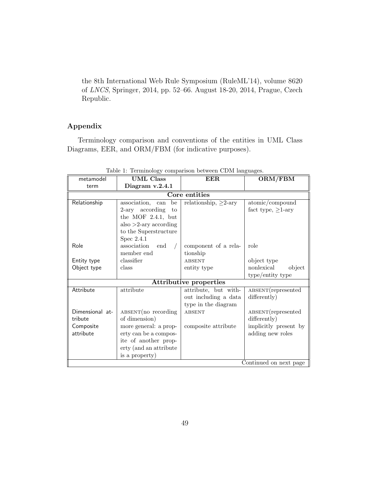the 8th International Web Rule Symposium (RuleML'14), volume 8620 of LNCS, Springer, 2014, pp. 52–66. August 18-20, 2014, Prague, Czech Republic.

# Appendix

Terminology comparison and conventions of the entities in UML Class Diagrams, EER, and ORM/FBM (for indicative purposes).

| metamodel                     | <b>UML Class</b>         | <b>EER</b>                 | ORM/FBM                  |  |
|-------------------------------|--------------------------|----------------------------|--------------------------|--|
| term                          | Diagram v.2.4.1          |                            |                          |  |
|                               | Core entities            |                            |                          |  |
| Relationship                  | association, can<br>be   | relationship, $\geq$ 2-ary | atomic/compound          |  |
|                               | 2-ary according<br>to    |                            | fact type, $\geq 1$ -ary |  |
|                               | the MOF $2.4.1$ , but    |                            |                          |  |
|                               | also $>2$ -ary according |                            |                          |  |
|                               | to the Superstructure    |                            |                          |  |
|                               | Spec $2.4.1$             |                            |                          |  |
| Role                          | association<br>end       | component of a rela-       | role                     |  |
|                               | member end               | tionship                   |                          |  |
| Entity type                   | classifier               | <b>ABSENT</b>              | object type              |  |
| Object type                   | class                    | entity type                | nonlexical<br>object     |  |
|                               |                          |                            | type/entity type         |  |
| <b>Attributive properties</b> |                          |                            |                          |  |
| Attribute                     | attribute                | attribute, but with-       | ABSENT (represented      |  |
|                               |                          | out including a data       | differently)             |  |
|                               |                          | type in the diagram        |                          |  |
| Dimensional at-               | ABSENT(no recording)     | <b>ABSENT</b>              | ABSENT (represented      |  |
| tribute                       | of dimension)            |                            | differently)             |  |
| Composite                     | more general: a prop-    | composite attribute        | implicitly present by    |  |
| attribute                     | erty can be a compos-    |                            | adding new roles         |  |
|                               | ite of another prop-     |                            |                          |  |
|                               | erty (and an attribute   |                            |                          |  |
|                               | is a property)           |                            |                          |  |
| Continued on next page        |                          |                            |                          |  |

Table 1: Terminology comparison between CDM languages.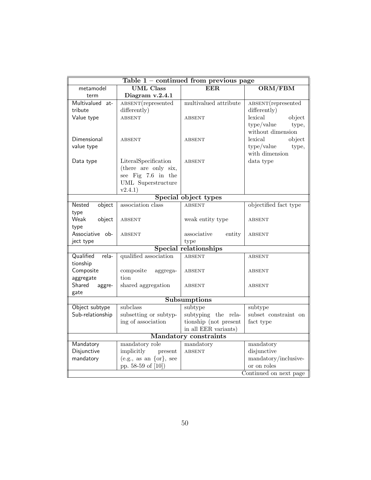| Table $1$ – continued from previous page |                           |                              |                             |
|------------------------------------------|---------------------------|------------------------------|-----------------------------|
| metamodel                                | <b>UML Class</b>          | $\overline{\text{EER}}$      | $\overline{\text{ORM/FBM}}$ |
| term                                     | Diagram v.2.4.1           |                              |                             |
| Multivalued<br>at-                       | ABSENT(represented        | multivalued attribute        | ABSENT(represented          |
| tribute                                  | differently)              |                              | differently)                |
| Value type                               | <b>ABSENT</b>             | ABSENT                       | lexical<br>object           |
|                                          |                           |                              | type/value<br>type,         |
|                                          |                           |                              | without dimension           |
| Dimensional                              | <b>ABSENT</b>             | ABSENT                       | lexical<br>object           |
| value type                               |                           |                              | type/value<br>type,         |
|                                          |                           |                              | with dimension              |
| Data type                                | LiteralSpecification      | ABSENT                       | data type                   |
|                                          | (there are only six,      |                              |                             |
|                                          | see Fig 7.6 in the        |                              |                             |
|                                          | UML Superstructure        |                              |                             |
|                                          | v2.4.1)                   |                              |                             |
|                                          |                           | Special object types         |                             |
| Nested<br>object                         | association class         | <b>ABSENT</b>                | objectified fact type       |
| type                                     |                           |                              |                             |
| Weak<br>object                           | <b>ABSENT</b>             | weak entity type             | <b>ABSENT</b>               |
| type                                     |                           |                              |                             |
| Associative ob-                          | ABSENT                    | associative<br>entity        | <b>ABSENT</b>               |
| ject type                                |                           | type                         |                             |
|                                          |                           | <b>Special relationships</b> |                             |
| Qualified<br>rela-                       | qualified association     | <b>ABSENT</b>                | <b>ABSENT</b>               |
| tionship                                 |                           |                              |                             |
| Composite                                | composite<br>aggrega-     | ABSENT                       | <b>ABSENT</b>               |
| aggregate                                | tion                      |                              |                             |
| Shared<br>aggre-                         | shared aggregation        | ABSENT                       | <b>ABSENT</b>               |
| gate                                     |                           |                              |                             |
| Subsumptions                             |                           |                              |                             |
| Object subtype                           | subclass                  | subtype                      | subtype                     |
| Sub-relationship                         | subsetting or subtyp-     | subtyping the rela-          | subset constraint on        |
|                                          | ing of association        | tionship (not present        | fact type                   |
|                                          |                           | in all EER variants)         |                             |
| <b>Mandatory constraints</b>             |                           |                              |                             |
| Mandatory                                | mandatory role            | mandatory                    | mandatory                   |
| Disjunctive                              | implicitly<br>present     | <b>ABSENT</b>                | disjunctive                 |
| mandatory                                | $(e.g., as an {or}$ , see |                              | mandatory/inclusive-        |
|                                          | pp. $58-59$ of $[10]$ )   |                              | or on roles                 |
| Continued on next page                   |                           |                              |                             |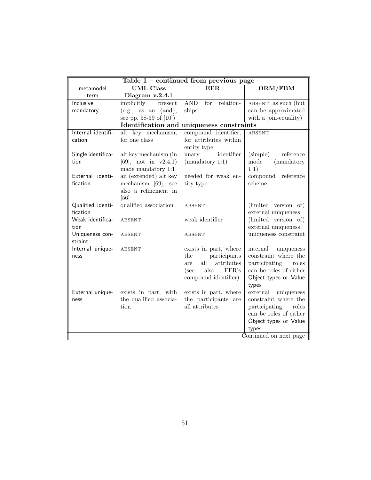| Table $1$ – continued from previous page |                             |                                           |                             |
|------------------------------------------|-----------------------------|-------------------------------------------|-----------------------------|
| metamodel                                | <b>UML Class</b>            | EER                                       | $\overline{\text{ORM/FBM}}$ |
| term                                     | Diagram v.2.4.1             |                                           |                             |
| Inclusive                                | implicitly<br>present       | <b>AND</b><br>relation-<br>for            | ABSENT as such (but         |
| mandatory                                | $(e.g., as an \{and\},\$    | ships                                     | can be approximated         |
|                                          | see pp. $58-59$ of $[10]$ ) |                                           | with a join-equality)       |
|                                          |                             | Identification and uniqueness constraints |                             |
| Internal identifi-                       | alt key mechanism,          | compound identifier,                      | <b>ABSENT</b>               |
| cation                                   | for one class               | for attributes within                     |                             |
|                                          |                             | entity type                               |                             |
| Single identifica-                       | alt key mechanism (in       | identifier<br>unary                       | reference<br>(simple)       |
| tion                                     | [69], not in $v2.4.1$ ]     | (mandatory 1:1)                           | mode<br>(mandatory          |
|                                          | made mandatory 1:1          |                                           | 1:1)                        |
| External identi-                         | an (extended) alt key       | needed for weak en-                       | compound reference          |
| fication                                 | mechanism $[69]$ , see      | tity type                                 | scheme                      |
|                                          | also a refinement in        |                                           |                             |
|                                          | [56]                        |                                           |                             |
| Qualified identi-                        | qualified association       | <b>ABSENT</b>                             | (limited version of)        |
| fication                                 |                             |                                           | external uniqueness         |
| Weak identifica-                         | <b>ABSENT</b>               | weak identifier                           | (limited version of)        |
| tion                                     |                             |                                           | external uniqueness         |
| Uniqueness con-                          | <b>ABSENT</b>               | <b>ABSENT</b>                             | uniqueness constraint       |
| straint                                  |                             |                                           |                             |
| Internal unique-                         | <b>ABSENT</b>               | exists in part, where                     | internal uniqueness         |
| ness                                     |                             | the<br>participants                       | constraint where the        |
|                                          |                             | all<br>attributes<br>are                  | participating<br>roles      |
|                                          |                             | also EER's<br>(see                        | can be roles of either      |
|                                          |                             | compound identifier)                      | Object types or Value       |
|                                          |                             |                                           | types                       |
| External unique-                         | exists in part, with        | exists in part, where                     | external uniqueness         |
| ness                                     | the qualified associa-      | the participants are                      | constraint where the        |
|                                          | tion                        | all attributes                            | participating<br>roles      |
|                                          |                             |                                           | can be roles of either      |
|                                          |                             |                                           | Object types or Value       |
|                                          |                             |                                           | types                       |
| Continued on next page                   |                             |                                           |                             |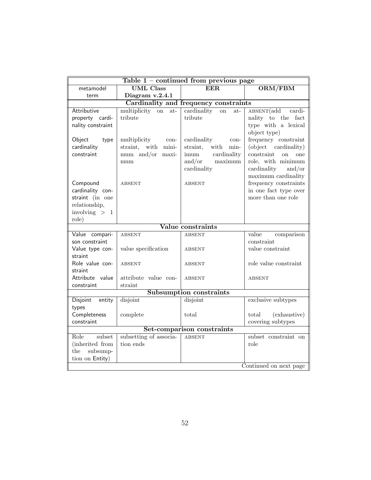| Table $1$ – continued from previous page |                                          |                                                   |                                            |
|------------------------------------------|------------------------------------------|---------------------------------------------------|--------------------------------------------|
| metamodel                                | <b>UML Class</b>                         | EER.                                              | $\overline{\text{ORM/FBM}}$                |
| term                                     | Diagram v.2.4.1                          |                                                   |                                            |
|                                          |                                          | Cardinality and frequency constraints             |                                            |
| <b>Attributive</b>                       | multiplicity<br>$\overline{on}$<br>$at-$ | cardinality<br><b>on</b><br>$at-$                 | $ABSENT(add cardi-$                        |
| property cardi-                          | tribute                                  | tribute                                           | nality to the fact                         |
| nality constraint                        |                                          |                                                   | type with a lexical                        |
|                                          |                                          |                                                   | object type)                               |
| Object<br>type                           | multiplicity<br>con-                     | cardinality<br>con-                               | frequency constraint                       |
| cardinality<br>constraint                | straint, with mini-<br>mum and/or        | $min-$<br>straint,<br>with<br>cardinality<br>imum | (object cardinality)<br>constraint         |
|                                          | maxi-<br>mum                             | and/or<br>maximum                                 | <sub>on</sub><br>one<br>role, with minimum |
|                                          |                                          | cardinality                                       | cardinality<br>and/or                      |
|                                          |                                          |                                                   | maximum cardinality                        |
| Compound                                 | <b>ABSENT</b>                            | <b>ABSENT</b>                                     | frequency constraints                      |
| cardinality con-                         |                                          |                                                   | in one fact type over                      |
| straint (in one                          |                                          |                                                   | more than one role                         |
| relationship,                            |                                          |                                                   |                                            |
| involving $> 1$                          |                                          |                                                   |                                            |
| role)                                    |                                          |                                                   |                                            |
|                                          |                                          | Value constraints                                 |                                            |
| Value compari-                           | <b>ABSENT</b>                            | <b>ABSENT</b>                                     | value<br>comparison                        |
| son constraint                           |                                          |                                                   | constraint                                 |
| Value type con-                          | value specification                      | ABSENT                                            | value constraint                           |
| straint<br>Role value con-               |                                          |                                                   |                                            |
| straint                                  | <b>ABSENT</b>                            | ABSENT                                            | role value constraint                      |
| Attribute value                          | attribute value con-                     | <b>ABSENT</b>                                     | <b>ABSENT</b>                              |
| constraint                               | straint                                  |                                                   |                                            |
| Subsumption constraints                  |                                          |                                                   |                                            |
| Disjoint<br>entity                       | disjoint                                 | $\overline{disjoint}$                             | exclusive subtypes                         |
| types                                    |                                          |                                                   |                                            |
| Completeness                             | complete                                 | total                                             | (exhaustive)<br>total                      |
| constraint                               |                                          |                                                   | covering subtypes                          |
| Set-comparison constraints               |                                          |                                                   |                                            |
| Role<br>subset                           | subsetting of associa-                   | <b>ABSENT</b>                                     | subset constraint on                       |
| (inherited from                          | tion ends                                |                                                   | role                                       |
| subsump-<br>the                          |                                          |                                                   |                                            |
| tion on Entity)                          |                                          |                                                   |                                            |
|                                          |                                          |                                                   | Continued on next page                     |